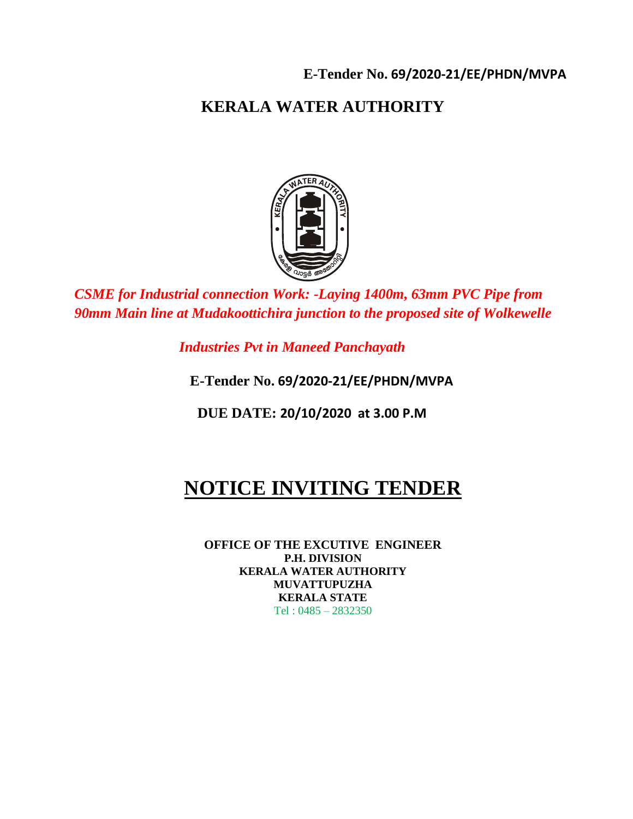# **KERALA WATER AUTHORITY**



*CSME for Industrial connection Work: -Laying 1400m, 63mm PVC Pipe from 90mm Main line at Mudakoottichira junction to the proposed site of Wolkewelle* 

 *Industries Pvt in Maneed Panchayath* 

 **E-Tender No. 69/2020-21/EE/PHDN/MVPA**

 **DUE DATE: 20/10/2020 at 3.00 P.M**

# **NOTICE INVITING TENDER**

**OFFICE OF THE EXCUTIVE ENGINEER P.H. DIVISION KERALA WATER AUTHORITY MUVATTUPUZHA KERALA STATE** Tel : 0485 – 2832350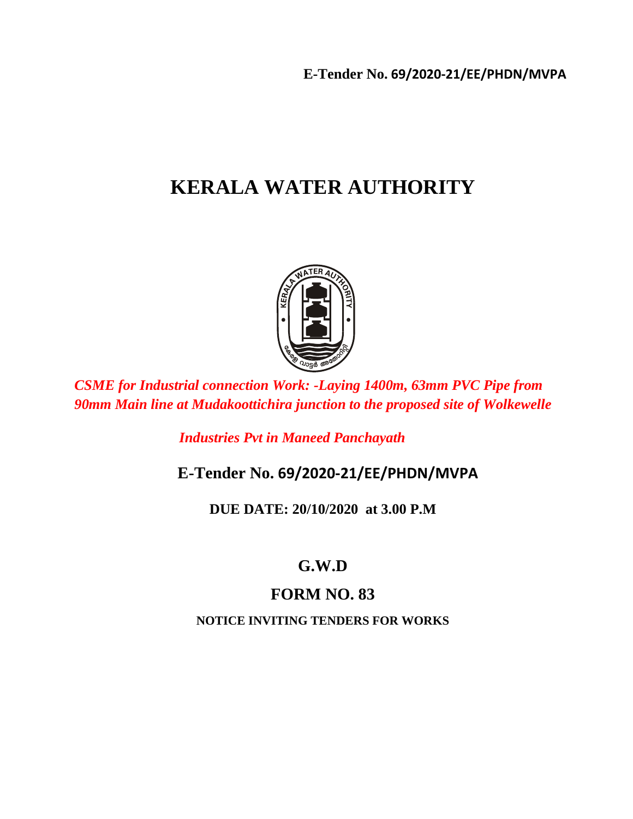# **KERALA WATER AUTHORITY**



*CSME for Industrial connection Work: -Laying 1400m, 63mm PVC Pipe from 90mm Main line at Mudakoottichira junction to the proposed site of Wolkewelle* 

 *Industries Pvt in Maneed Panchayath* 

 **E-Tender No. 69/2020-21/EE/PHDN/MVPA**

**DUE DATE: 20/10/2020 at 3.00 P.M**

# **G.W.D**

# **FORM NO. 83**

**NOTICE INVITING TENDERS FOR WORKS**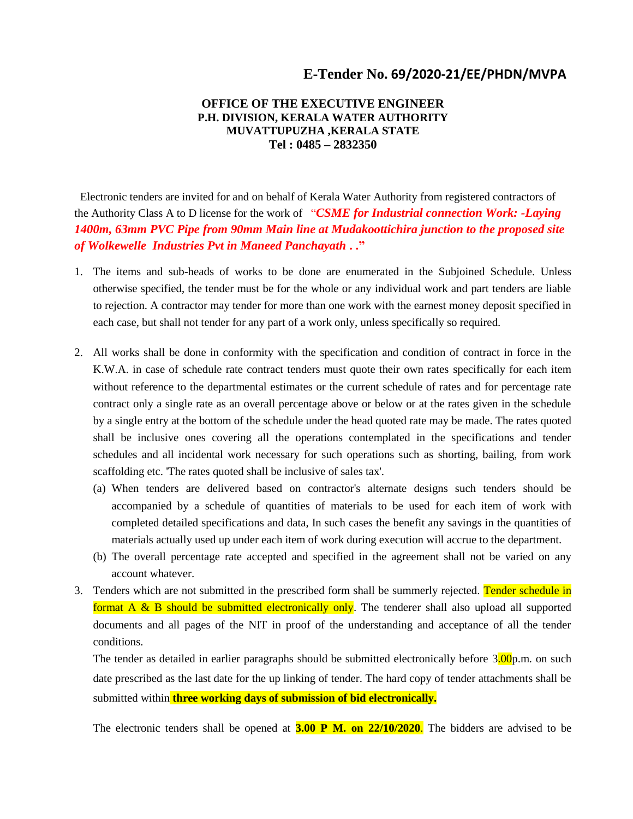#### **OFFICE OF THE EXECUTIVE ENGINEER P.H. DIVISION, KERALA WATER AUTHORITY MUVATTUPUZHA ,KERALA STATE Tel : 0485 – 2832350**

 Electronic tenders are invited for and on behalf of Kerala Water Authority from registered contractors of the Authority Class A to D license for the work of "*CSME for Industrial connection Work: -Laying 1400m, 63mm PVC Pipe from 90mm Main line at Mudakoottichira junction to the proposed site of Wolkewelle Industries Pvt in Maneed Panchayath* **. ."**

- 1. The items and sub-heads of works to be done are enumerated in the Subjoined Schedule. Unless otherwise specified, the tender must be for the whole or any individual work and part tenders are liable to rejection. A contractor may tender for more than one work with the earnest money deposit specified in each case, but shall not tender for any part of a work only, unless specifically so required.
- 2. All works shall be done in conformity with the specification and condition of contract in force in the K.W.A. in case of schedule rate contract tenders must quote their own rates specifically for each item without reference to the departmental estimates or the current schedule of rates and for percentage rate contract only a single rate as an overall percentage above or below or at the rates given in the schedule by a single entry at the bottom of the schedule under the head quoted rate may be made. The rates quoted shall be inclusive ones covering all the operations contemplated in the specifications and tender schedules and all incidental work necessary for such operations such as shorting, bailing, from work scaffolding etc. 'The rates quoted shall be inclusive of sales tax'.
	- (a) When tenders are delivered based on contractor's alternate designs such tenders should be accompanied by a schedule of quantities of materials to be used for each item of work with completed detailed specifications and data, In such cases the benefit any savings in the quantities of materials actually used up under each item of work during execution will accrue to the department.
	- (b) The overall percentage rate accepted and specified in the agreement shall not be varied on any account whatever.
- 3. Tenders which are not submitted in the prescribed form shall be summerly rejected. Tender schedule in format  $A \& B$  should be submitted electronically only. The tenderer shall also upload all supported documents and all pages of the NIT in proof of the understanding and acceptance of all the tender conditions.

The tender as detailed in earlier paragraphs should be submitted electronically before 3.00p.m. on such date prescribed as the last date for the up linking of tender. The hard copy of tender attachments shall be submitted within **three working days of submission of bid electronically.**

The electronic tenders shall be opened at **3.00 P M. on 22/10/2020**. The bidders are advised to be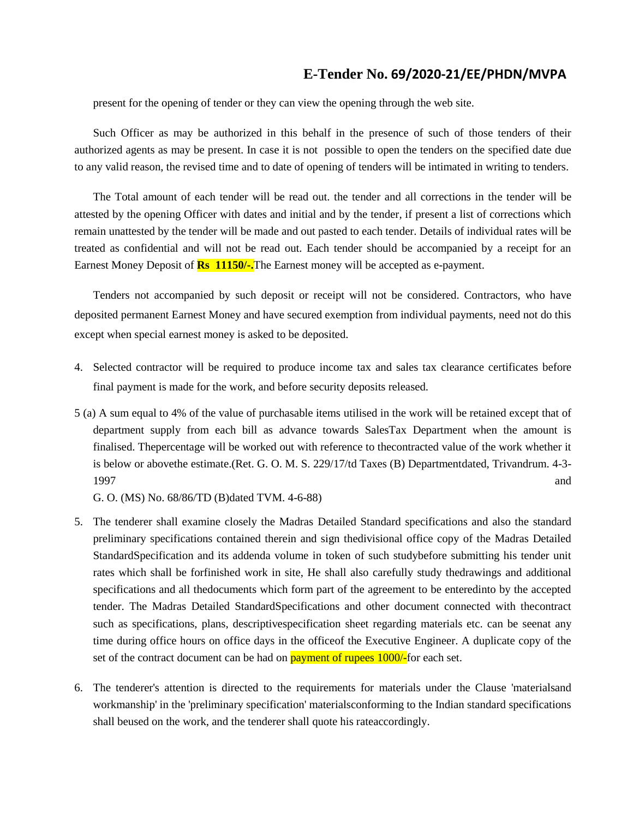present for the opening of tender or they can view the opening through the web site.

Such Officer as may be authorized in this behalf in the presence of such of those tenders of their authorized agents as may be present. In case it is not possible to open the tenders on the specified date due to any valid reason, the revised time and to date of opening of tenders will be intimated in writing to tenders.

The Total amount of each tender will be read out. the tender and all corrections in the tender will be attested by the opening Officer with dates and initial and by the tender, if present a list of corrections which remain unattested by the tender will be made and out pasted to each tender. Details of individual rates will be treated as confidential and will not be read out. Each tender should be accompanied by a receipt for an Earnest Money Deposit of **Rs 11150/-.**The Earnest money will be accepted as e-payment.

Tenders not accompanied by such deposit or receipt will not be considered. Contractors, who have deposited permanent Earnest Money and have secured exemption from individual payments, need not do this except when special earnest money is asked to be deposited.

- 4. Selected contractor will be required to produce income tax and sales tax clearance certificates before final payment is made for the work, and before security deposits released.
- 5 (a) A sum equal to 4% of the value of purchasable items utilised in the work will be retained except that of department supply from each bill as advance towards SalesTax Department when the amount is finalised. Thepercentage will be worked out with reference to thecontracted value of the work whether it is below or abovethe estimate.(Ret. G. O. M. S. 229/17/td Taxes (B) Departmentdated, Trivandrum. 4-3- 1997 and the same state of the state of the state of the state of the state of the state of the state of the state of the state of the state of the state of the state of the state of the state of the state of the state of

G. O. (MS) No. 68/86/TD (B)dated TVM. 4-6-88)

- 5. The tenderer shall examine closely the Madras Detailed Standard specifications and also the standard preliminary specifications contained therein and sign thedivisional office copy of the Madras Detailed StandardSpecification and its addenda volume in token of such studybefore submitting his tender unit rates which shall be forfinished work in site, He shall also carefully study thedrawings and additional specifications and all thedocuments which form part of the agreement to be enteredinto by the accepted tender. The Madras Detailed StandardSpecifications and other document connected with thecontract such as specifications, plans, descriptivespecification sheet regarding materials etc. can be seenat any time during office hours on office days in the officeof the Executive Engineer. A duplicate copy of the set of the contract document can be had on **payment of rupees 1000/-**for each set.
- 6. The tenderer's attention is directed to the requirements for materials under the Clause 'materialsand workmanship' in the 'preliminary specification' materialsconforming to the Indian standard specifications shall beused on the work, and the tenderer shall quote his rateaccordingly.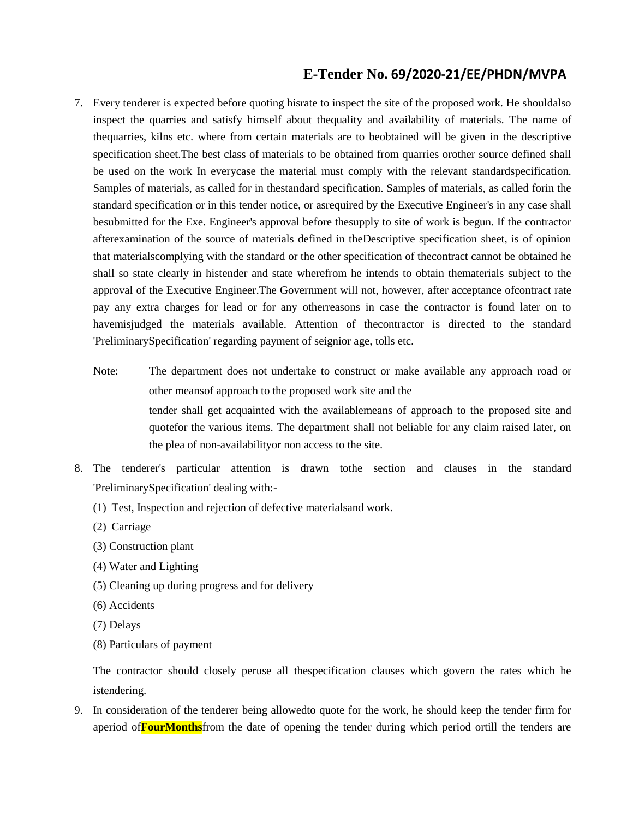- 7. Every tenderer is expected before quoting hisrate to inspect the site of the proposed work. He shouldalso inspect the quarries and satisfy himself about thequality and availability of materials. The name of thequarries, kilns etc. where from certain materials are to beobtained will be given in the descriptive specification sheet.The best class of materials to be obtained from quarries orother source defined shall be used on the work In everycase the material must comply with the relevant standardspecification. Samples of materials, as called for in thestandard specification. Samples of materials, as called forin the standard specification or in this tender notice, or asrequired by the Executive Engineer's in any case shall besubmitted for the Exe. Engineer's approval before thesupply to site of work is begun. If the contractor afterexamination of the source of materials defined in theDescriptive specification sheet, is of opinion that materialscomplying with the standard or the other specification of thecontract cannot be obtained he shall so state clearly in histender and state wherefrom he intends to obtain thematerials subject to the approval of the Executive Engineer.The Government will not, however, after acceptance ofcontract rate pay any extra charges for lead or for any otherreasons in case the contractor is found later on to havemisjudged the materials available. Attention of thecontractor is directed to the standard 'PreliminarySpecification' regarding payment of seignior age, tolls etc.
	- Note: The department does not undertake to construct or make available any approach road or other meansof approach to the proposed work site and the tender shall get acquainted with the availablemeans of approach to the proposed site and quotefor the various items. The department shall not beliable for any claim raised later, on the plea of non-availabilityor non access to the site.
- 8. The tenderer's particular attention is drawn tothe section and clauses in the standard 'PreliminarySpecification' dealing with:-
	- (1) Test, Inspection and rejection of defective materialsand work.
	- (2) Carriage
	- (3) Construction plant
	- (4) Water and Lighting
	- (5) Cleaning up during progress and for delivery
	- (6) Accidents
	- (7) Delays
	- (8) Particulars of payment

The contractor should closely peruse all thespecification clauses which govern the rates which he istendering.

9. In consideration of the tenderer being allowedto quote for the work, he should keep the tender firm for aperiod of**FourMonths**from the date of opening the tender during which period ortill the tenders are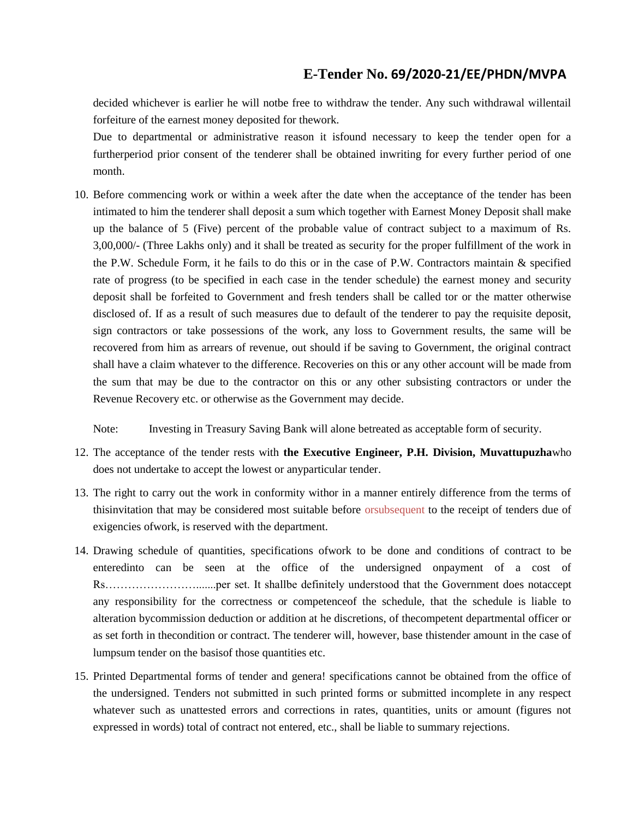decided whichever is earlier he will notbe free to withdraw the tender. Any such withdrawal willentail forfeiture of the earnest money deposited for thework.

Due to departmental or administrative reason it isfound necessary to keep the tender open for a furtherperiod prior consent of the tenderer shall be obtained inwriting for every further period of one month.

10. Before commencing work or within a week after the date when the acceptance of the tender has been intimated to him the tenderer shall deposit a sum which together with Earnest Money Deposit shall make up the balance of 5 (Five) percent of the probable value of contract subject to a maximum of Rs. 3,00,000/- (Three Lakhs only) and it shall be treated as security for the proper fulfillment of the work in the P.W. Schedule Form, it he fails to do this or in the case of P.W. Contractors maintain & specified rate of progress (to be specified in each case in the tender schedule) the earnest money and security deposit shall be forfeited to Government and fresh tenders shall be called tor or the matter otherwise disclosed of. If as a result of such measures due to default of the tenderer to pay the requisite deposit, sign contractors or take possessions of the work, any loss to Government results, the same will be recovered from him as arrears of revenue, out should if be saving to Government, the original contract shall have a claim whatever to the difference. Recoveries on this or any other account will be made from the sum that may be due to the contractor on this or any other subsisting contractors or under the Revenue Recovery etc. or otherwise as the Government may decide.

Note: Investing in Treasury Saving Bank will alone betreated as acceptable form of security.

- 12. The acceptance of the tender rests with **the Executive Engineer, P.H. Division, Muvattupuzha**who does not undertake to accept the lowest or anyparticular tender.
- 13. The right to carry out the work in conformity withor in a manner entirely difference from the terms of thisinvitation that may be considered most suitable before orsubsequent to the receipt of tenders due of exigencies ofwork, is reserved with the department.
- 14. Drawing schedule of quantities, specifications ofwork to be done and conditions of contract to be enteredinto can be seen at the office of the undersigned onpayment of a cost of Rs…………………….......per set. It shallbe definitely understood that the Government does notaccept any responsibility for the correctness or competenceof the schedule, that the schedule is liable to alteration bycommission deduction or addition at he discretions, of thecompetent departmental officer or as set forth in thecondition or contract. The tenderer will, however, base thistender amount in the case of lumpsum tender on the basisof those quantities etc.
- 15. Printed Departmental forms of tender and genera! specifications cannot be obtained from the office of the undersigned. Tenders not submitted in such printed forms or submitted incomplete in any respect whatever such as unattested errors and corrections in rates, quantities, units or amount (figures not expressed in words) total of contract not entered, etc., shall be liable to summary rejections.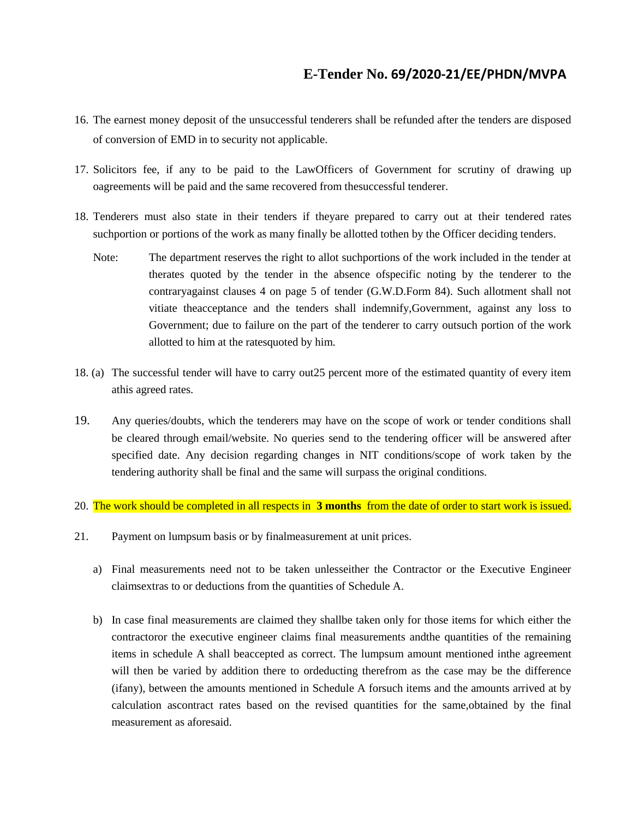- 16. The earnest money deposit of the unsuccessful tenderers shall be refunded after the tenders are disposed of conversion of EMD in to security not applicable.
- 17. Solicitors fee, if any to be paid to the LawOfficers of Government for scrutiny of drawing up oagreements will be paid and the same recovered from thesuccessful tenderer.
- 18. Tenderers must also state in their tenders if theyare prepared to carry out at their tendered rates suchportion or portions of the work as many finally be allotted tothen by the Officer deciding tenders.
	- Note: The department reserves the right to allot suchportions of the work included in the tender at therates quoted by the tender in the absence ofspecific noting by the tenderer to the contraryagainst clauses 4 on page 5 of tender (G.W.D.Form 84). Such allotment shall not vitiate theacceptance and the tenders shall indemnify,Government, against any loss to Government; due to failure on the part of the tenderer to carry outsuch portion of the work allotted to him at the ratesquoted by him.
- 18. (a) The successful tender will have to carry out25 percent more of the estimated quantity of every item athis agreed rates.
- 19. Any queries/doubts, which the tenderers may have on the scope of work or tender conditions shall be cleared through email/website. No queries send to the tendering officer will be answered after specified date. Any decision regarding changes in NIT conditions/scope of work taken by the tendering authority shall be final and the same will surpass the original conditions.
- 20. The work should be completed in all respects in **3 months** from the date of order to start work is issued.
- 21. Payment on lumpsum basis or by finalmeasurement at unit prices.
	- a) Final measurements need not to be taken unlesseither the Contractor or the Executive Engineer claimsextras to or deductions from the quantities of Schedule A.
	- b) In case final measurements are claimed they shallbe taken only for those items for which either the contractoror the executive engineer claims final measurements andthe quantities of the remaining items in schedule A shall beaccepted as correct. The lumpsum amount mentioned inthe agreement will then be varied by addition there to ordeducting therefrom as the case may be the difference (ifany), between the amounts mentioned in Schedule A forsuch items and the amounts arrived at by calculation ascontract rates based on the revised quantities for the same,obtained by the final measurement as aforesaid.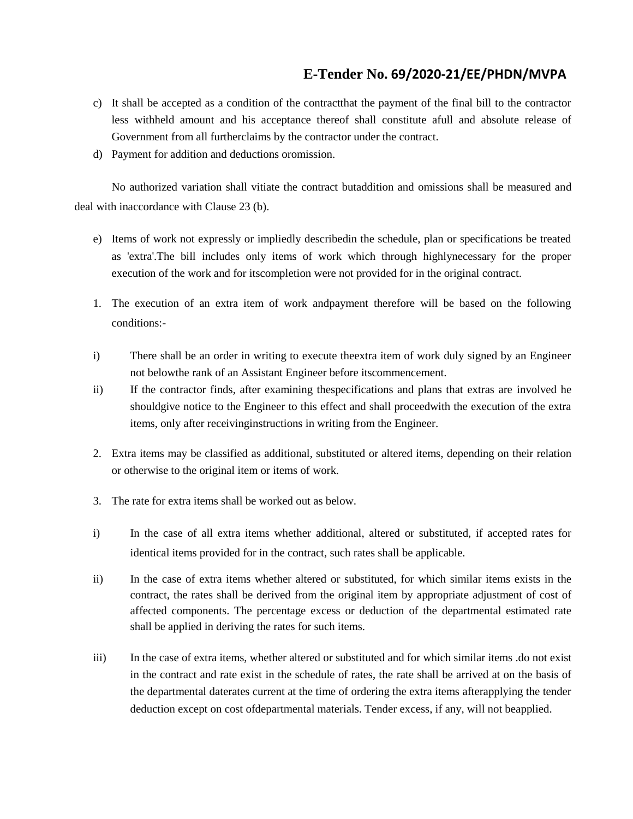- c) It shall be accepted as a condition of the contractthat the payment of the final bill to the contractor less withheld amount and his acceptance thereof shall constitute afull and absolute release of Government from all furtherclaims by the contractor under the contract.
- d) Payment for addition and deductions oromission.

No authorized variation shall vitiate the contract butaddition and omissions shall be measured and deal with inaccordance with Clause 23 (b).

- e) Items of work not expressly or impliedly describedin the schedule, plan or specifications be treated as 'extra'.The bill includes only items of work which through highlynecessary for the proper execution of the work and for itscompletion were not provided for in the original contract.
- 1. The execution of an extra item of work andpayment therefore will be based on the following conditions:-
- i) There shall be an order in writing to execute theextra item of work duly signed by an Engineer not belowthe rank of an Assistant Engineer before itscommencement.
- ii) If the contractor finds, after examining thespecifications and plans that extras are involved he shouldgive notice to the Engineer to this effect and shall proceedwith the execution of the extra items, only after receivinginstructions in writing from the Engineer.
- 2. Extra items may be classified as additional, substituted or altered items, depending on their relation or otherwise to the original item or items of work.
- 3. The rate for extra items shall be worked out as below.
- i) In the case of all extra items whether additional, altered or substituted, if accepted rates for identical items provided for in the contract, such rates shall be applicable.
- ii) In the case of extra items whether altered or substituted, for which similar items exists in the contract, the rates shall be derived from the original item by appropriate adjustment of cost of affected components. The percentage excess or deduction of the departmental estimated rate shall be applied in deriving the rates for such items.
- iii) In the case of extra items, whether altered or substituted and for which similar items .do not exist in the contract and rate exist in the schedule of rates, the rate shall be arrived at on the basis of the departmental daterates current at the time of ordering the extra items afterapplying the tender deduction except on cost ofdepartmental materials. Tender excess, if any, will not beapplied.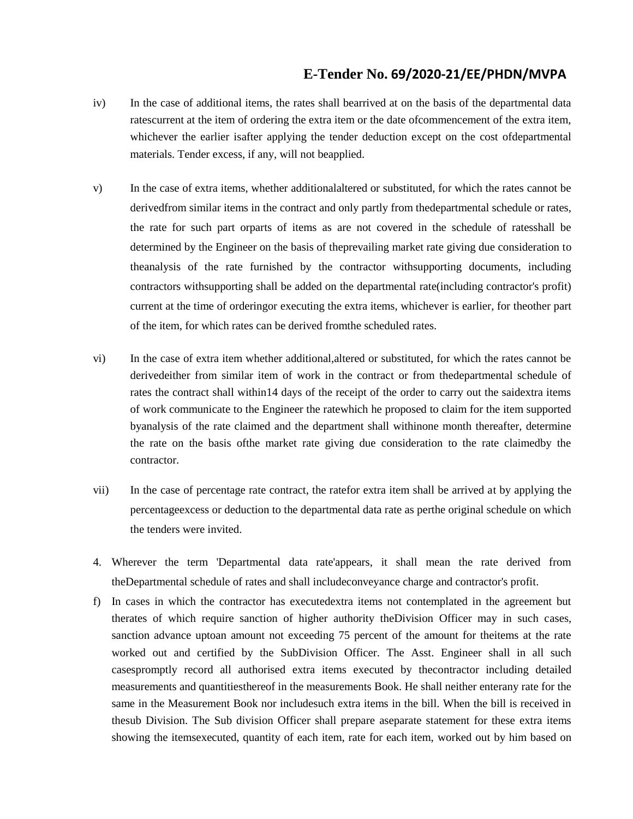- iv) In the case of additional items, the rates shall bearrived at on the basis of the departmental data ratescurrent at the item of ordering the extra item or the date ofcommencement of the extra item, whichever the earlier isafter applying the tender deduction except on the cost ofdepartmental materials. Tender excess, if any, will not beapplied.
- v) In the case of extra items, whether additionalaltered or substituted, for which the rates cannot be derivedfrom similar items in the contract and only partly from thedepartmental schedule or rates, the rate for such part orparts of items as are not covered in the schedule of ratesshall be determined by the Engineer on the basis of theprevailing market rate giving due consideration to theanalysis of the rate furnished by the contractor withsupporting documents, including contractors withsupporting shall be added on the departmental rate(including contractor's profit) current at the time of orderingor executing the extra items, whichever is earlier, for theother part of the item, for which rates can be derived fromthe scheduled rates.
- vi) In the case of extra item whether additional,altered or substituted, for which the rates cannot be derivedeither from similar item of work in the contract or from thedepartmental schedule of rates the contract shall within14 days of the receipt of the order to carry out the saidextra items of work communicate to the Engineer the ratewhich he proposed to claim for the item supported byanalysis of the rate claimed and the department shall withinone month thereafter, determine the rate on the basis ofthe market rate giving due consideration to the rate claimedby the contractor.
- vii) In the case of percentage rate contract, the ratefor extra item shall be arrived at by applying the percentageexcess or deduction to the departmental data rate as perthe original schedule on which the tenders were invited.
- 4. Wherever the term 'Departmental data rate'appears, it shall mean the rate derived from theDepartmental schedule of rates and shall includeconveyance charge and contractor's profit.
- f) In cases in which the contractor has executedextra items not contemplated in the agreement but therates of which require sanction of higher authority theDivision Officer may in such cases, sanction advance uptoan amount not exceeding 75 percent of the amount for theitems at the rate worked out and certified by the SubDivision Officer. The Asst. Engineer shall in all such casespromptly record all authorised extra items executed by thecontractor including detailed measurements and quantitiesthereof in the measurements Book. He shall neither enterany rate for the same in the Measurement Book nor includesuch extra items in the bill. When the bill is received in thesub Division. The Sub division Officer shall prepare aseparate statement for these extra items showing the itemsexecuted, quantity of each item, rate for each item, worked out by him based on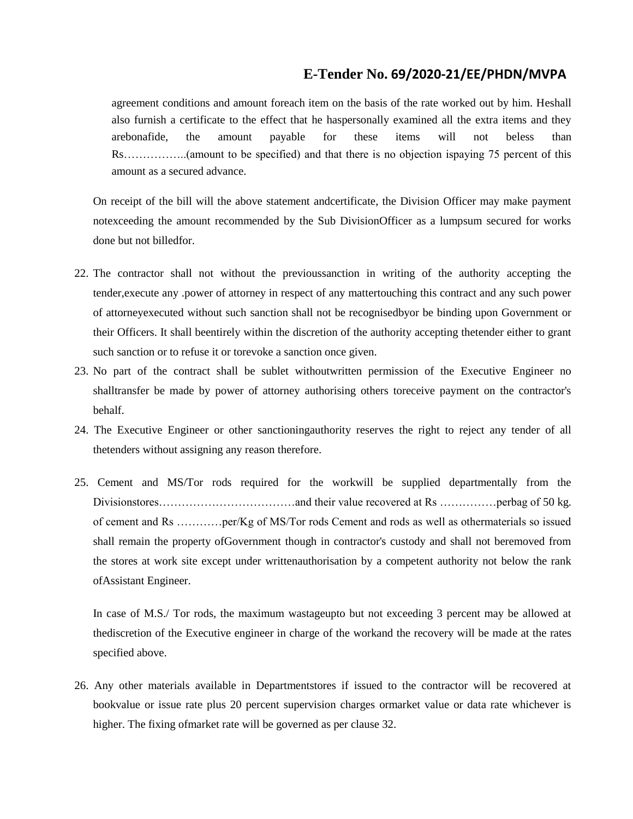agreement conditions and amount foreach item on the basis of the rate worked out by him. Heshall also furnish a certificate to the effect that he haspersonally examined all the extra items and they arebonafide, the amount payable for these items will not beless than Rs……………..(amount to be specified) and that there is no objection ispaying 75 percent of this amount as a secured advance.

On receipt of the bill will the above statement andcertificate, the Division Officer may make payment notexceeding the amount recommended by the Sub DivisionOfficer as a lumpsum secured for works done but not billedfor.

- 22. The contractor shall not without the previoussanction in writing of the authority accepting the tender,execute any .power of attorney in respect of any mattertouching this contract and any such power of attorneyexecuted without such sanction shall not be recognisedbyor be binding upon Government or their Officers. It shall beentirely within the discretion of the authority accepting thetender either to grant such sanction or to refuse it or torevoke a sanction once given.
- 23. No part of the contract shall be sublet withoutwritten permission of the Executive Engineer no shalltransfer be made by power of attorney authorising others toreceive payment on the contractor's behalf.
- 24. The Executive Engineer or other sanctioningauthority reserves the right to reject any tender of all thetenders without assigning any reason therefore.
- 25. Cement and MS/Tor rods required for the workwill be supplied departmentally from the Divisionstores………………………………and their value recovered at Rs ……………perbag of 50 kg. of cement and Rs …………per/Kg of MS/Tor rods Cement and rods as well as othermaterials so issued shall remain the property ofGovernment though in contractor's custody and shall not beremoved from the stores at work site except under writtenauthorisation by a competent authority not below the rank ofAssistant Engineer.

In case of M.S./ Tor rods, the maximum wastageupto but not exceeding 3 percent may be allowed at thediscretion of the Executive engineer in charge of the workand the recovery will be made at the rates specified above.

26. Any other materials available in Departmentstores if issued to the contractor will be recovered at bookvalue or issue rate plus 20 percent supervision charges ormarket value or data rate whichever is higher. The fixing ofmarket rate will be governed as per clause 32.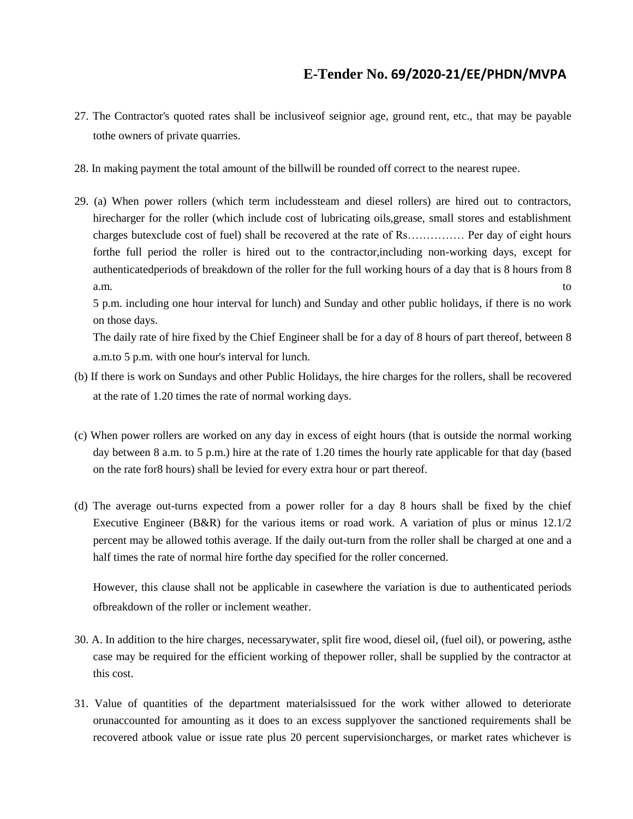- 27. The Contractor's quoted rates shall be inclusiveof seignior age, ground rent, etc., that may be payable tothe owners of private quarries.
- 28. In making payment the total amount of the billwill be rounded off correct to the nearest rupee.
- 29. (a) When power rollers (which term includessteam and diesel rollers) are hired out to contractors, hirecharger for the roller (which include cost of lubricating oils,grease, small stores and establishment charges butexclude cost of fuel) shall be recovered at the rate of Rs…………… Per day of eight hours forthe full period the roller is hired out to the contractor,including non-working days, except for authenticatedperiods of breakdown of the roller for the full working hours of a day that is 8 hours from 8 a.m. to

5 p.m. including one hour interval for lunch) and Sunday and other public holidays, if there is no work on those days.

The daily rate of hire fixed by the Chief Engineer shall be for a day of 8 hours of part thereof, between 8 a.m.to 5 p.m. with one hour's interval for lunch.

- (b) If there is work on Sundays and other Public Holidays, the hire charges for the rollers, shall be recovered at the rate of 1.20 times the rate of normal working days.
- (c) When power rollers are worked on any day in excess of eight hours (that is outside the normal working day between 8 a.m. to 5 p.m.) hire at the rate of 1.20 times the hourly rate applicable for that day (based on the rate for8 hours) shall be levied for every extra hour or part thereof.
- (d) The average out-turns expected from a power roller for a day 8 hours shall be fixed by the chief Executive Engineer (B&R) for the various items or road work. A variation of plus or minus 12.1/2 percent may be allowed tothis average. If the daily out-turn from the roller shall be charged at one and a half times the rate of normal hire forthe day specified for the roller concerned.

However, this clause shall not be applicable in casewhere the variation is due to authenticated periods ofbreakdown of the roller or inclement weather.

- 30. A. In addition to the hire charges, necessarywater, split fire wood, diesel oil, (fuel oil), or powering, asthe case may be required for the efficient working of thepower roller, shall be supplied by the contractor at this cost.
- 31. Value of quantities of the department materialsissued for the work wither allowed to deteriorate orunaccounted for amounting as it does to an excess supplyover the sanctioned requirements shall be recovered atbook value or issue rate plus 20 percent supervisioncharges, or market rates whichever is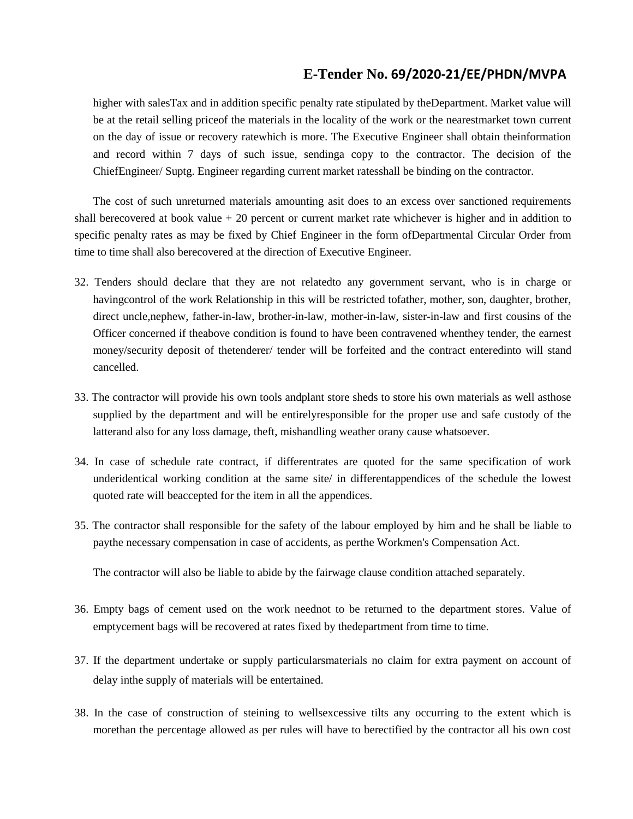higher with salesTax and in addition specific penalty rate stipulated by theDepartment. Market value will be at the retail selling priceof the materials in the locality of the work or the nearestmarket town current on the day of issue or recovery ratewhich is more. The Executive Engineer shall obtain theinformation and record within 7 days of such issue, sendinga copy to the contractor. The decision of the ChiefEngineer/ Suptg. Engineer regarding current market ratesshall be binding on the contractor.

The cost of such unreturned materials amounting asit does to an excess over sanctioned requirements shall berecovered at book value  $+20$  percent or current market rate whichever is higher and in addition to specific penalty rates as may be fixed by Chief Engineer in the form ofDepartmental Circular Order from time to time shall also berecovered at the direction of Executive Engineer.

- 32. Tenders should declare that they are not relatedto any government servant, who is in charge or havingcontrol of the work Relationship in this will be restricted tofather, mother, son, daughter, brother, direct uncle,nephew, father-in-law, brother-in-law, mother-in-law, sister-in-law and first cousins of the Officer concerned if theabove condition is found to have been contravened whenthey tender, the earnest money/security deposit of thetenderer/ tender will be forfeited and the contract enteredinto will stand cancelled.
- 33. The contractor will provide his own tools andplant store sheds to store his own materials as well asthose supplied by the department and will be entirelyresponsible for the proper use and safe custody of the latterand also for any loss damage, theft, mishandling weather orany cause whatsoever.
- 34. In case of schedule rate contract, if differentrates are quoted for the same specification of work underidentical working condition at the same site/ in differentappendices of the schedule the lowest quoted rate will beaccepted for the item in all the appendices.
- 35. The contractor shall responsible for the safety of the labour employed by him and he shall be liable to paythe necessary compensation in case of accidents, as perthe Workmen's Compensation Act.

The contractor will also be liable to abide by the fairwage clause condition attached separately.

- 36. Empty bags of cement used on the work neednot to be returned to the department stores. Value of emptycement bags will be recovered at rates fixed by thedepartment from time to time.
- 37. If the department undertake or supply particularsmaterials no claim for extra payment on account of delay inthe supply of materials will be entertained.
- 38. In the case of construction of steining to wellsexcessive tilts any occurring to the extent which is morethan the percentage allowed as per rules will have to berectified by the contractor all his own cost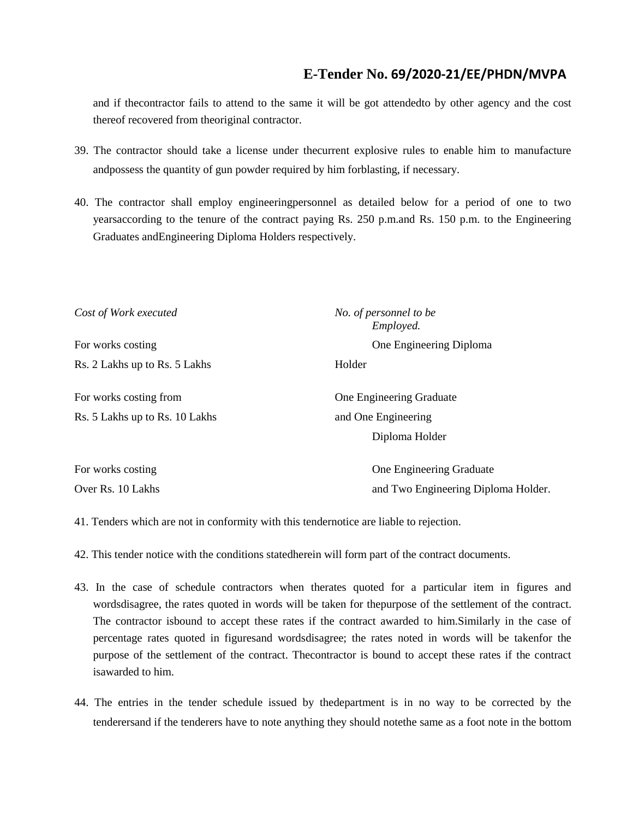and if thecontractor fails to attend to the same it will be got attendedto by other agency and the cost thereof recovered from theoriginal contractor.

- 39. The contractor should take a license under thecurrent explosive rules to enable him to manufacture andpossess the quantity of gun powder required by him forblasting, if necessary.
- 40. The contractor shall employ engineeringpersonnel as detailed below for a period of one to two yearsaccording to the tenure of the contract paying Rs. 250 p.m.and Rs. 150 p.m. to the Engineering Graduates andEngineering Diploma Holders respectively.

| Cost of Work executed                                    | No. of personnel to be<br>Employed. |  |  |  |  |  |
|----------------------------------------------------------|-------------------------------------|--|--|--|--|--|
| For works costing                                        | One Engineering Diploma             |  |  |  |  |  |
| Rs. 2 Lakhs up to Rs. 5 Lakhs                            | Holder                              |  |  |  |  |  |
| For works costing from                                   | One Engineering Graduate            |  |  |  |  |  |
| Rs. 5 Lakhs up to Rs. 10 Lakhs<br>and One Engineering    |                                     |  |  |  |  |  |
|                                                          | Diploma Holder                      |  |  |  |  |  |
| For works costing                                        | One Engineering Graduate            |  |  |  |  |  |
| Over Rs. 10 Lakhs<br>and Two Engineering Diploma Holder. |                                     |  |  |  |  |  |

41. Tenders which are not in conformity with this tendernotice are liable to rejection.

42. This tender notice with the conditions statedherein will form part of the contract documents.

- 43. In the case of schedule contractors when therates quoted for a particular item in figures and wordsdisagree, the rates quoted in words will be taken for thepurpose of the settlement of the contract. The contractor isbound to accept these rates if the contract awarded to him.Similarly in the case of percentage rates quoted in figuresand wordsdisagree; the rates noted in words will be takenfor the purpose of the settlement of the contract. Thecontractor is bound to accept these rates if the contract isawarded to him.
- 44. The entries in the tender schedule issued by thedepartment is in no way to be corrected by the tenderersand if the tenderers have to note anything they should notethe same as a foot note in the bottom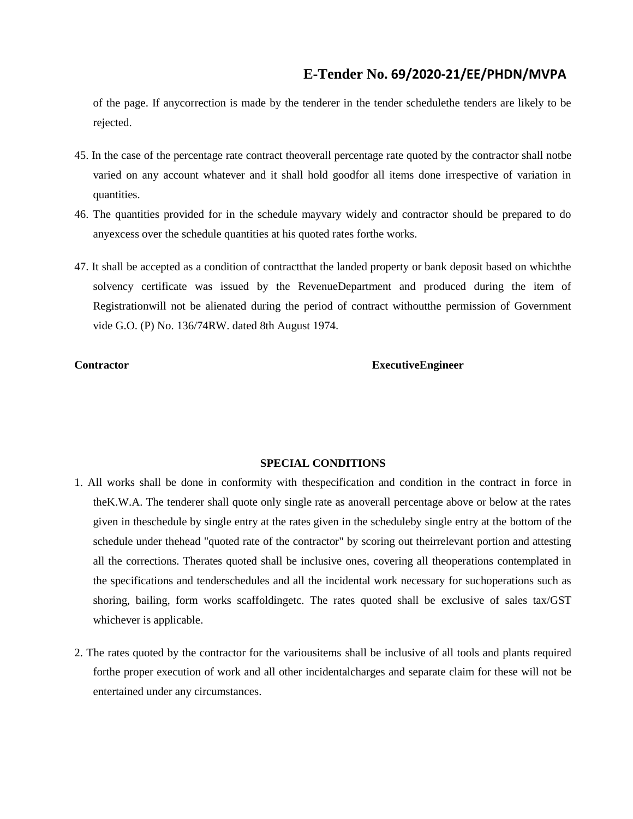of the page. If anycorrection is made by the tenderer in the tender schedulethe tenders are likely to be rejected.

- 45. In the case of the percentage rate contract theoverall percentage rate quoted by the contractor shall notbe varied on any account whatever and it shall hold goodfor all items done irrespective of variation in quantities.
- 46. The quantities provided for in the schedule mayvary widely and contractor should be prepared to do anyexcess over the schedule quantities at his quoted rates forthe works.
- 47. It shall be accepted as a condition of contractthat the landed property or bank deposit based on whichthe solvency certificate was issued by the RevenueDepartment and produced during the item of Registrationwill not be alienated during the period of contract withoutthe permission of Government vide G.O. (P) No. 136/74RW. dated 8th August 1974.

#### **Contractor ExecutiveEngineer**

#### **SPECIAL CONDITIONS**

- 1. All works shall be done in conformity with thespecification and condition in the contract in force in theK.W.A. The tenderer shall quote only single rate as anoverall percentage above or below at the rates given in theschedule by single entry at the rates given in the scheduleby single entry at the bottom of the schedule under thehead "quoted rate of the contractor" by scoring out theirrelevant portion and attesting all the corrections. Therates quoted shall be inclusive ones, covering all theoperations contemplated in the specifications and tenderschedules and all the incidental work necessary for suchoperations such as shoring, bailing, form works scaffoldingetc. The rates quoted shall be exclusive of sales tax/GST whichever is applicable.
- 2. The rates quoted by the contractor for the variousitems shall be inclusive of all tools and plants required forthe proper execution of work and all other incidentalcharges and separate claim for these will not be entertained under any circumstances.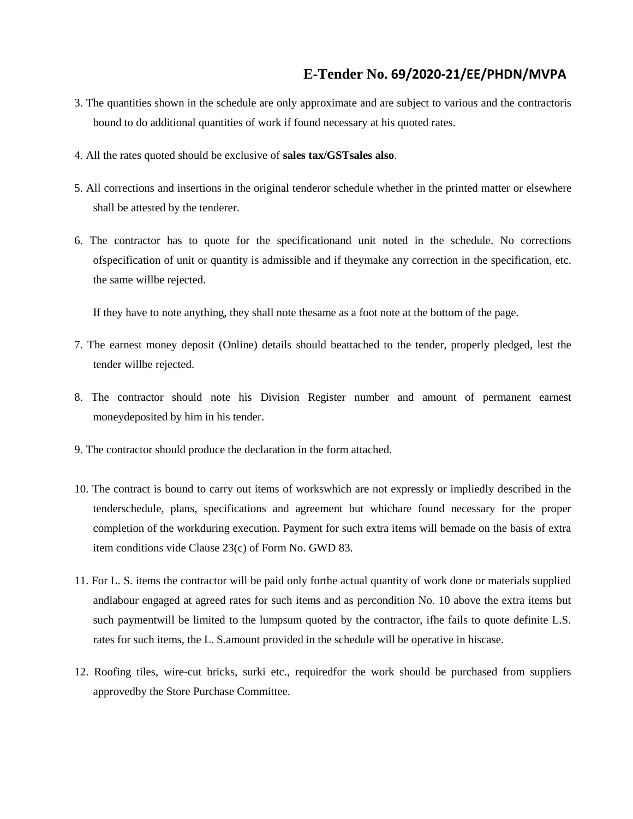- 3. The quantities shown in the schedule are only approximate and are subject to various and the contractoris bound to do additional quantities of work if found necessary at his quoted rates.
- 4. All the rates quoted should be exclusive of **sales tax/GSTsales also**.
- 5. All corrections and insertions in the original tenderor schedule whether in the printed matter or elsewhere shall be attested by the tenderer.
- 6. The contractor has to quote for the specificationand unit noted in the schedule. No corrections ofspecification of unit or quantity is admissible and if theymake any correction in the specification, etc. the same willbe rejected.

If they have to note anything, they shall note thesame as a foot note at the bottom of the page.

- 7. The earnest money deposit (Online) details should beattached to the tender, properly pledged, lest the tender willbe rejected.
- 8. The contractor should note his Division Register number and amount of permanent earnest moneydeposited by him in his tender.
- 9. The contractor should produce the declaration in the form attached.
- 10. The contract is bound to carry out items of workswhich are not expressly or impliedly described in the tenderschedule, plans, specifications and agreement but whichare found necessary for the proper completion of the workduring execution. Payment for such extra items will bemade on the basis of extra item conditions vide Clause 23(c) of Form No. GWD 83.
- 11. For L. S. items the contractor will be paid only forthe actual quantity of work done or materials supplied andlabour engaged at agreed rates for such items and as percondition No. 10 above the extra items but such paymentwill be limited to the lumpsum quoted by the contractor, ifhe fails to quote definite L.S. rates for such items, the L. S.amount provided in the schedule will be operative in hiscase.
- 12. Roofing tiles, wire-cut bricks, surki etc., requiredfor the work should be purchased from suppliers approvedby the Store Purchase Committee.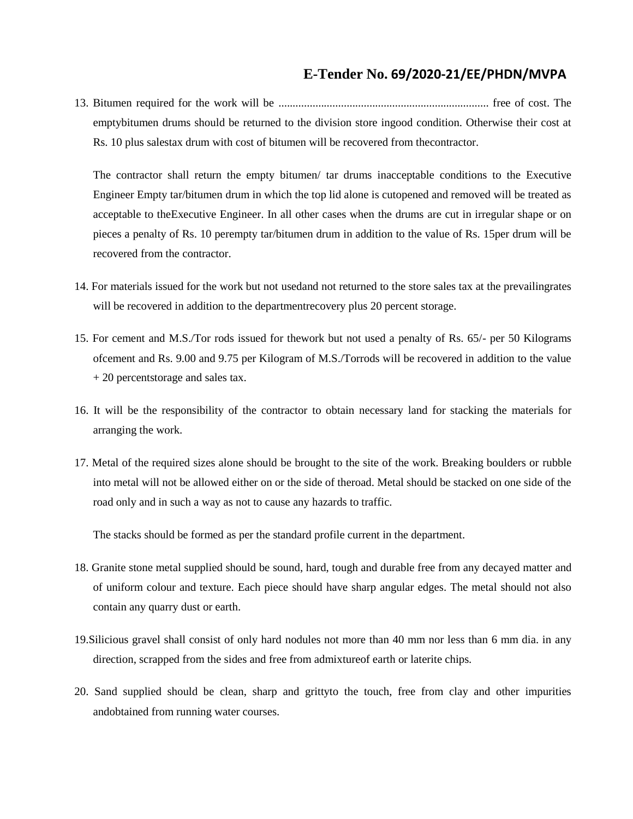13. Bitumen required for the work will be .......................................................................... free of cost. The emptybitumen drums should be returned to the division store ingood condition. Otherwise their cost at Rs. 10 plus salestax drum with cost of bitumen will be recovered from thecontractor.

The contractor shall return the empty bitumen/ tar drums inacceptable conditions to the Executive Engineer Empty tar/bitumen drum in which the top lid alone is cutopened and removed will be treated as acceptable to theExecutive Engineer. In all other cases when the drums are cut in irregular shape or on pieces a penalty of Rs. 10 perempty tar/bitumen drum in addition to the value of Rs. 15per drum will be recovered from the contractor.

- 14. For materials issued for the work but not usedand not returned to the store sales tax at the prevailingrates will be recovered in addition to the department recovery plus 20 percent storage.
- 15. For cement and M.S./Tor rods issued for thework but not used a penalty of Rs. 65/- per 50 Kilograms ofcement and Rs. 9.00 and 9.75 per Kilogram of M.S./Torrods will be recovered in addition to the value + 20 percentstorage and sales tax.
- 16. It will be the responsibility of the contractor to obtain necessary land for stacking the materials for arranging the work.
- 17. Metal of the required sizes alone should be brought to the site of the work. Breaking boulders or rubble into metal will not be allowed either on or the side of theroad. Metal should be stacked on one side of the road only and in such a way as not to cause any hazards to traffic.

The stacks should be formed as per the standard profile current in the department.

- 18. Granite stone metal supplied should be sound, hard, tough and durable free from any decayed matter and of uniform colour and texture. Each piece should have sharp angular edges. The metal should not also contain any quarry dust or earth.
- 19.Silicious gravel shall consist of only hard nodules not more than 40 mm nor less than 6 mm dia. in any direction, scrapped from the sides and free from admixtureof earth or laterite chips.
- 20. Sand supplied should be clean, sharp and grittyto the touch, free from clay and other impurities andobtained from running water courses.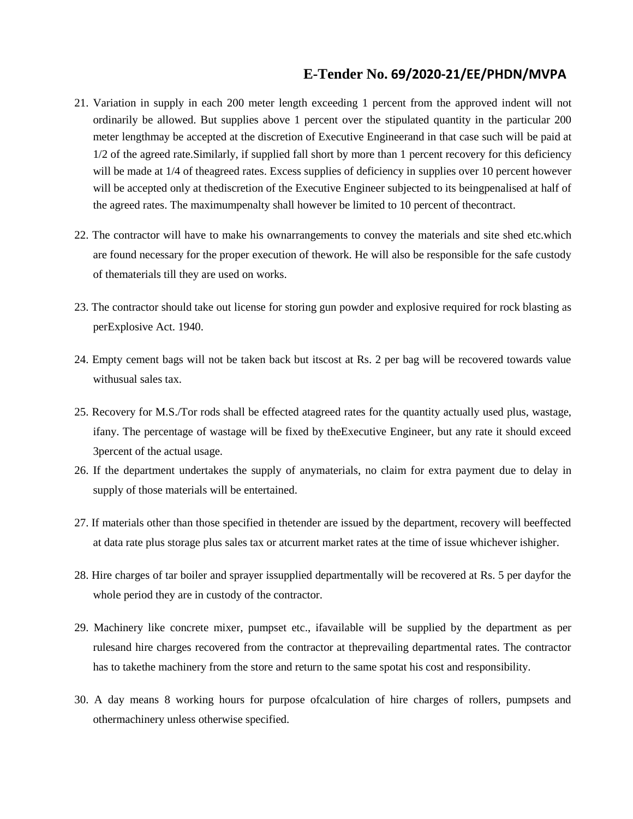- 21. Variation in supply in each 200 meter length exceeding 1 percent from the approved indent will not ordinarily be allowed. But supplies above 1 percent over the stipulated quantity in the particular 200 meter lengthmay be accepted at the discretion of Executive Engineerand in that case such will be paid at 1/2 of the agreed rate.Similarly, if supplied fall short by more than 1 percent recovery for this deficiency will be made at  $1/4$  of theagreed rates. Excess supplies of deficiency in supplies over 10 percent however will be accepted only at thediscretion of the Executive Engineer subjected to its beingpenalised at half of the agreed rates. The maximumpenalty shall however be limited to 10 percent of thecontract.
- 22. The contractor will have to make his ownarrangements to convey the materials and site shed etc.which are found necessary for the proper execution of thework. He will also be responsible for the safe custody of thematerials till they are used on works.
- 23. The contractor should take out license for storing gun powder and explosive required for rock blasting as perExplosive Act. 1940.
- 24. Empty cement bags will not be taken back but itscost at Rs. 2 per bag will be recovered towards value withusual sales tax.
- 25. Recovery for M.S./Tor rods shall be effected atagreed rates for the quantity actually used plus, wastage, ifany. The percentage of wastage will be fixed by theExecutive Engineer, but any rate it should exceed 3percent of the actual usage.
- 26. If the department undertakes the supply of anymaterials, no claim for extra payment due to delay in supply of those materials will be entertained.
- 27. If materials other than those specified in thetender are issued by the department, recovery will beeffected at data rate plus storage plus sales tax or atcurrent market rates at the time of issue whichever ishigher.
- 28. Hire charges of tar boiler and sprayer issupplied departmentally will be recovered at Rs. 5 per dayfor the whole period they are in custody of the contractor.
- 29. Machinery like concrete mixer, pumpset etc., ifavailable will be supplied by the department as per rulesand hire charges recovered from the contractor at theprevailing departmental rates. The contractor has to takethe machinery from the store and return to the same spotat his cost and responsibility.
- 30. A day means 8 working hours for purpose ofcalculation of hire charges of rollers, pumpsets and othermachinery unless otherwise specified.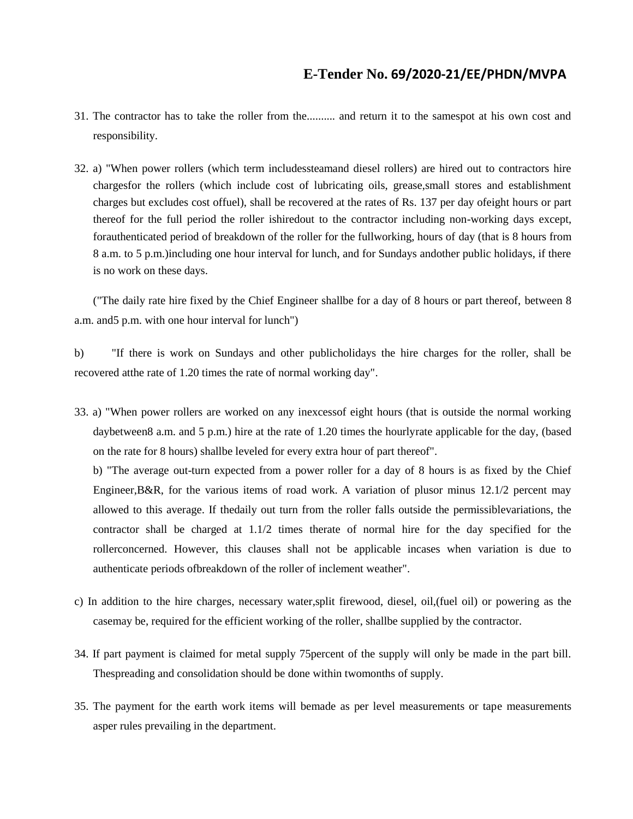- 31. The contractor has to take the roller from the.......... and return it to the samespot at his own cost and responsibility.
- 32. a) "When power rollers (which term includessteamand diesel rollers) are hired out to contractors hire chargesfor the rollers (which include cost of lubricating oils, grease,small stores and establishment charges but excludes cost offuel), shall be recovered at the rates of Rs. 137 per day ofeight hours or part thereof for the full period the roller ishiredout to the contractor including non-working days except, forauthenticated period of breakdown of the roller for the fullworking, hours of day (that is 8 hours from 8 a.m. to 5 p.m.)including one hour interval for lunch, and for Sundays andother public holidays, if there is no work on these days.

("The daily rate hire fixed by the Chief Engineer shallbe for a day of 8 hours or part thereof, between 8 a.m. and5 p.m. with one hour interval for lunch")

b) "If there is work on Sundays and other publicholidays the hire charges for the roller, shall be recovered atthe rate of 1.20 times the rate of normal working day".

33. a) "When power rollers are worked on any inexcessof eight hours (that is outside the normal working daybetween8 a.m. and 5 p.m.) hire at the rate of 1.20 times the hourlyrate applicable for the day, (based on the rate for 8 hours) shallbe leveled for every extra hour of part thereof".

b) "The average out-turn expected from a power roller for a day of 8 hours is as fixed by the Chief Engineer,B&R, for the various items of road work. A variation of plusor minus 12.1/2 percent may allowed to this average. If thedaily out turn from the roller falls outside the permissiblevariations, the contractor shall be charged at 1.1/2 times therate of normal hire for the day specified for the rollerconcerned. However, this clauses shall not be applicable incases when variation is due to authenticate periods ofbreakdown of the roller of inclement weather".

- c) In addition to the hire charges, necessary water,split firewood, diesel, oil,(fuel oil) or powering as the casemay be, required for the efficient working of the roller, shallbe supplied by the contractor.
- 34. If part payment is claimed for metal supply 75percent of the supply will only be made in the part bill. Thespreading and consolidation should be done within twomonths of supply.
- 35. The payment for the earth work items will bemade as per level measurements or tape measurements asper rules prevailing in the department.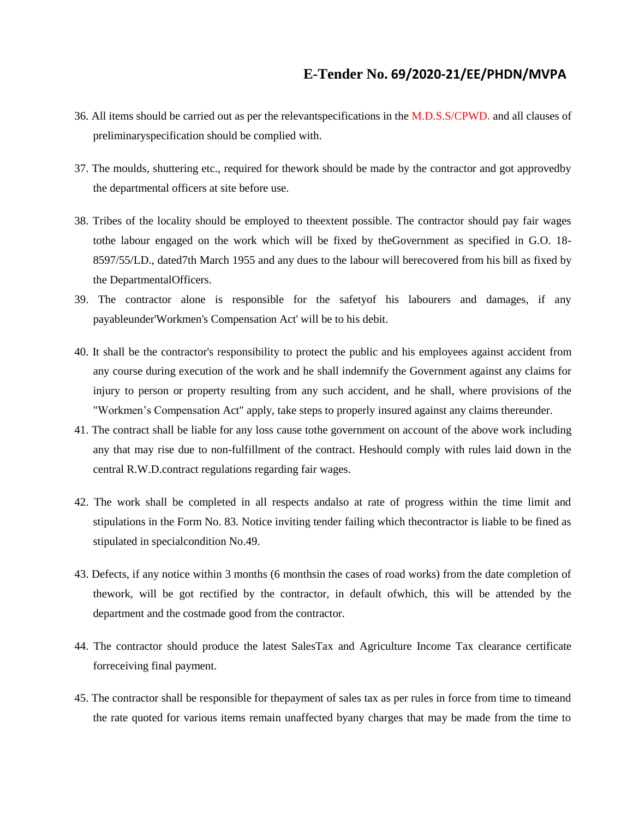- 36. All items should be carried out as per the relevantspecifications in the M.D.S.S/CPWD. and all clauses of preliminaryspecification should be complied with.
- 37. The moulds, shuttering etc., required for thework should be made by the contractor and got approvedby the departmental officers at site before use.
- 38. Tribes of the locality should be employed to theextent possible. The contractor should pay fair wages tothe labour engaged on the work which will be fixed by theGovernment as specified in G.O. 18- 8597/55/LD., dated7th March 1955 and any dues to the labour will berecovered from his bill as fixed by the DepartmentalOfficers.
- 39. The contractor alone is responsible for the safetyof his labourers and damages, if any payableunder'Workmen's Compensation Act' will be to his debit.
- 40. It shall be the contractor's responsibility to protect the public and his employees against accident from any course during execution of the work and he shall indemnify the Government against any claims for injury to person or property resulting from any such accident, and he shall, where provisions of the "Workmen's Compensation Act" apply, take steps to properly insured against any claims thereunder.
- 41. The contract shall be liable for any loss cause tothe government on account of the above work including any that may rise due to non-fulfillment of the contract. Heshould comply with rules laid down in the central R.W.D.contract regulations regarding fair wages.
- 42. The work shall be completed in all respects andalso at rate of progress within the time limit and stipulations in the Form No. 83. Notice inviting tender failing which thecontractor is liable to be fined as stipulated in specialcondition No.49.
- 43. Defects, if any notice within 3 months (6 monthsin the cases of road works) from the date completion of thework, will be got rectified by the contractor, in default ofwhich, this will be attended by the department and the costmade good from the contractor.
- 44. The contractor should produce the latest SalesTax and Agriculture Income Tax clearance certificate forreceiving final payment.
- 45. The contractor shall be responsible for thepayment of sales tax as per rules in force from time to timeand the rate quoted for various items remain unaffected byany charges that may be made from the time to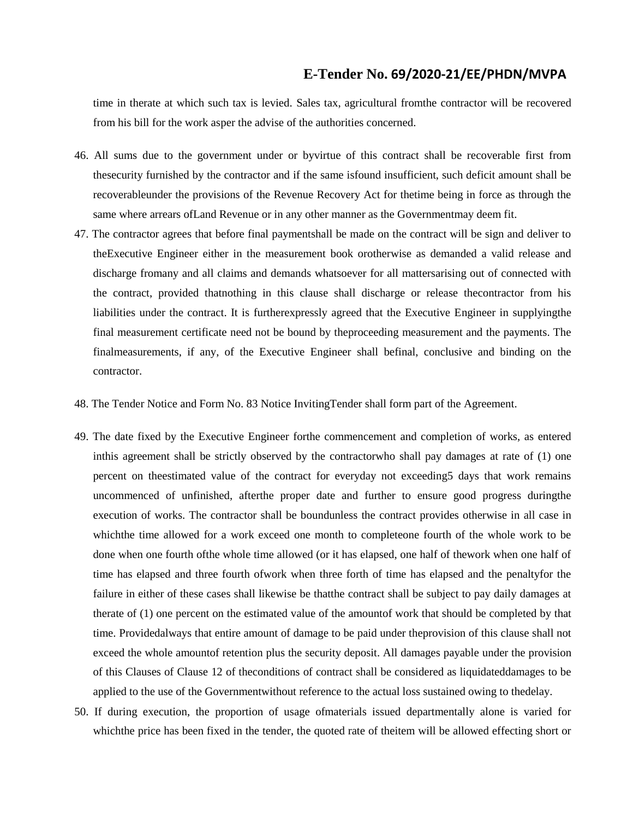time in therate at which such tax is levied. Sales tax, agricultural fromthe contractor will be recovered from his bill for the work asper the advise of the authorities concerned.

- 46. All sums due to the government under or byvirtue of this contract shall be recoverable first from thesecurity furnished by the contractor and if the same isfound insufficient, such deficit amount shall be recoverableunder the provisions of the Revenue Recovery Act for thetime being in force as through the same where arrears ofLand Revenue or in any other manner as the Governmentmay deem fit.
- 47. The contractor agrees that before final paymentshall be made on the contract will be sign and deliver to theExecutive Engineer either in the measurement book orotherwise as demanded a valid release and discharge fromany and all claims and demands whatsoever for all mattersarising out of connected with the contract, provided thatnothing in this clause shall discharge or release thecontractor from his liabilities under the contract. It is furtherexpressly agreed that the Executive Engineer in supplyingthe final measurement certificate need not be bound by theproceeding measurement and the payments. The finalmeasurements, if any, of the Executive Engineer shall befinal, conclusive and binding on the contractor.
- 48. The Tender Notice and Form No. 83 Notice InvitingTender shall form part of the Agreement.
- 49. The date fixed by the Executive Engineer forthe commencement and completion of works, as entered inthis agreement shall be strictly observed by the contractorwho shall pay damages at rate of (1) one percent on theestimated value of the contract for everyday not exceeding5 days that work remains uncommenced of unfinished, afterthe proper date and further to ensure good progress duringthe execution of works. The contractor shall be boundunless the contract provides otherwise in all case in whichthe time allowed for a work exceed one month to completeone fourth of the whole work to be done when one fourth ofthe whole time allowed (or it has elapsed, one half of thework when one half of time has elapsed and three fourth ofwork when three forth of time has elapsed and the penaltyfor the failure in either of these cases shall likewise be thatthe contract shall be subject to pay daily damages at therate of (1) one percent on the estimated value of the amountof work that should be completed by that time. Providedalways that entire amount of damage to be paid under theprovision of this clause shall not exceed the whole amountof retention plus the security deposit. All damages payable under the provision of this Clauses of Clause 12 of theconditions of contract shall be considered as liquidateddamages to be applied to the use of the Governmentwithout reference to the actual loss sustained owing to thedelay.
- 50. If during execution, the proportion of usage ofmaterials issued departmentally alone is varied for whichthe price has been fixed in the tender, the quoted rate of theitem will be allowed effecting short or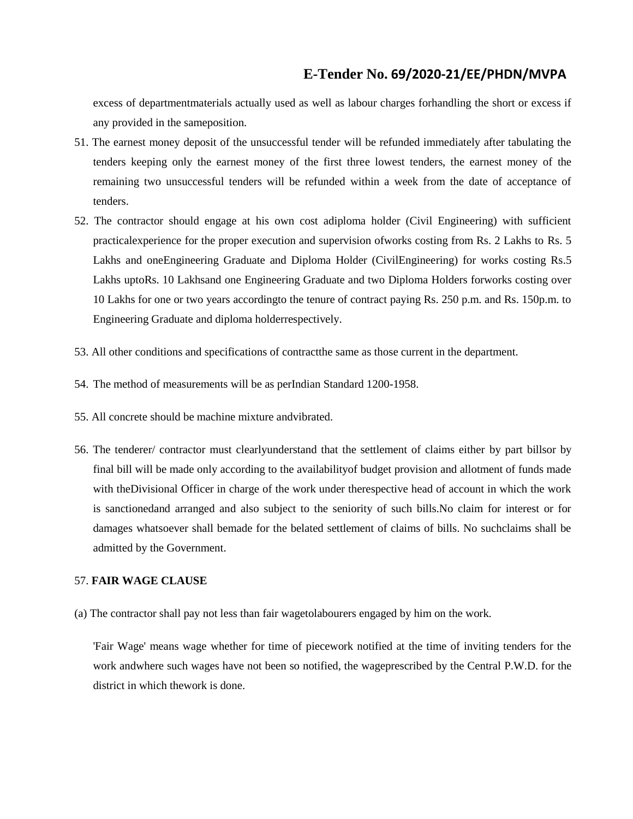excess of departmentmaterials actually used as well as labour charges forhandling the short or excess if any provided in the sameposition.

- 51. The earnest money deposit of the unsuccessful tender will be refunded immediately after tabulating the tenders keeping only the earnest money of the first three lowest tenders, the earnest money of the remaining two unsuccessful tenders will be refunded within a week from the date of acceptance of tenders.
- 52. The contractor should engage at his own cost adiploma holder (Civil Engineering) with sufficient practicalexperience for the proper execution and supervision ofworks costing from Rs. 2 Lakhs to Rs. 5 Lakhs and oneEngineering Graduate and Diploma Holder (CivilEngineering) for works costing Rs.5 Lakhs uptoRs. 10 Lakhsand one Engineering Graduate and two Diploma Holders forworks costing over 10 Lakhs for one or two years accordingto the tenure of contract paying Rs. 250 p.m. and Rs. 150p.m. to Engineering Graduate and diploma holderrespectively.
- 53. All other conditions and specifications of contractthe same as those current in the department.
- 54. The method of measurements will be as perIndian Standard 1200-1958.
- 55. All concrete should be machine mixture andvibrated.
- 56. The tenderer/ contractor must clearlyunderstand that the settlement of claims either by part billsor by final bill will be made only according to the availabilityof budget provision and allotment of funds made with theDivisional Officer in charge of the work under therespective head of account in which the work is sanctionedand arranged and also subject to the seniority of such bills.No claim for interest or for damages whatsoever shall bemade for the belated settlement of claims of bills. No suchclaims shall be admitted by the Government.

#### 57. **FAIR WAGE CLAUSE**

(a) The contractor shall pay not less than fair wagetolabourers engaged by him on the work.

'Fair Wage' means wage whether for time of piecework notified at the time of inviting tenders for the work andwhere such wages have not been so notified, the wageprescribed by the Central P.W.D. for the district in which thework is done.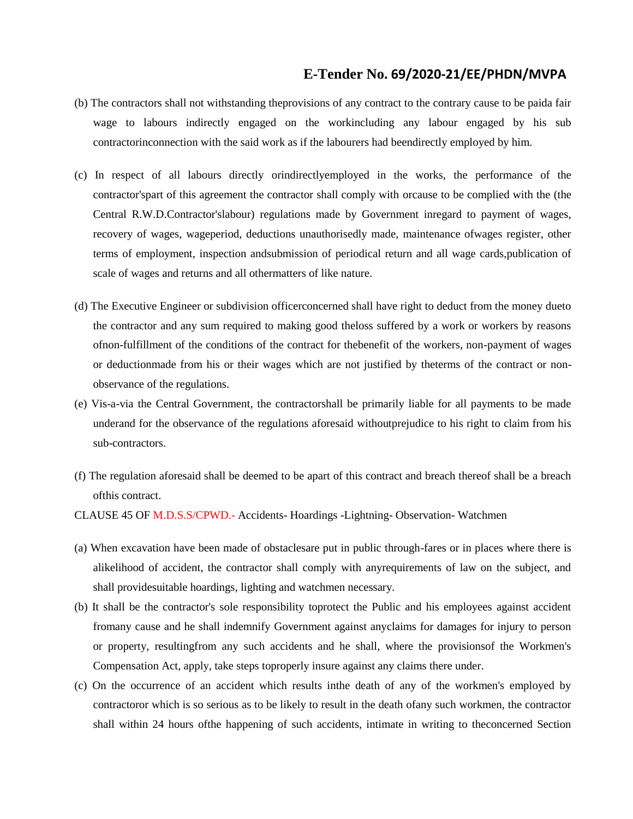- (b) The contractors shall not withstanding theprovisions of any contract to the contrary cause to be paida fair wage to labours indirectly engaged on the workincluding any labour engaged by his sub contractorinconnection with the said work as if the labourers had beendirectly employed by him.
- (c) In respect of all labours directly orindirectlyemployed in the works, the performance of the contractor'spart of this agreement the contractor shall comply with orcause to be complied with the (the Central R.W.D.Contractor'slabour) regulations made by Government inregard to payment of wages, recovery of wages, wageperiod, deductions unauthorisedly made, maintenance ofwages register, other terms of employment, inspection andsubmission of periodical return and all wage cards,publication of scale of wages and returns and all othermatters of like nature.
- (d) The Executive Engineer or subdivision officerconcerned shall have right to deduct from the money dueto the contractor and any sum required to making good theloss suffered by a work or workers by reasons ofnon-fulfillment of the conditions of the contract for thebenefit of the workers, non-payment of wages or deductionmade from his or their wages which are not justified by theterms of the contract or nonobservance of the regulations.
- (e) Vis-a-via the Central Government, the contractorshall be primarily liable for all payments to be made underand for the observance of the regulations aforesaid withoutprejudice to his right to claim from his sub-contractors.
- (f) The regulation aforesaid shall be deemed to be apart of this contract and breach thereof shall be a breach ofthis contract.
- CLAUSE 45 OF M.D.S.S/CPWD.- Accidents- Hoardings -Lightning- Observation- Watchmen
- (a) When excavation have been made of obstaclesare put in public through-fares or in places where there is alikelihood of accident, the contractor shall comply with anyrequirements of law on the subject, and shall providesuitable hoardings, lighting and watchmen necessary.
- (b) It shall be the contractor's sole responsibility toprotect the Public and his employees against accident fromany cause and he shall indemnify Government against anyclaims for damages for injury to person or property, resultingfrom any such accidents and he shall, where the provisionsof the Workmen's Compensation Act, apply, take steps toproperly insure against any claims there under.
- (c) On the occurrence of an accident which results inthe death of any of the workmen's employed by contractoror which is so serious as to be likely to result in the death ofany such workmen, the contractor shall within 24 hours ofthe happening of such accidents, intimate in writing to theconcerned Section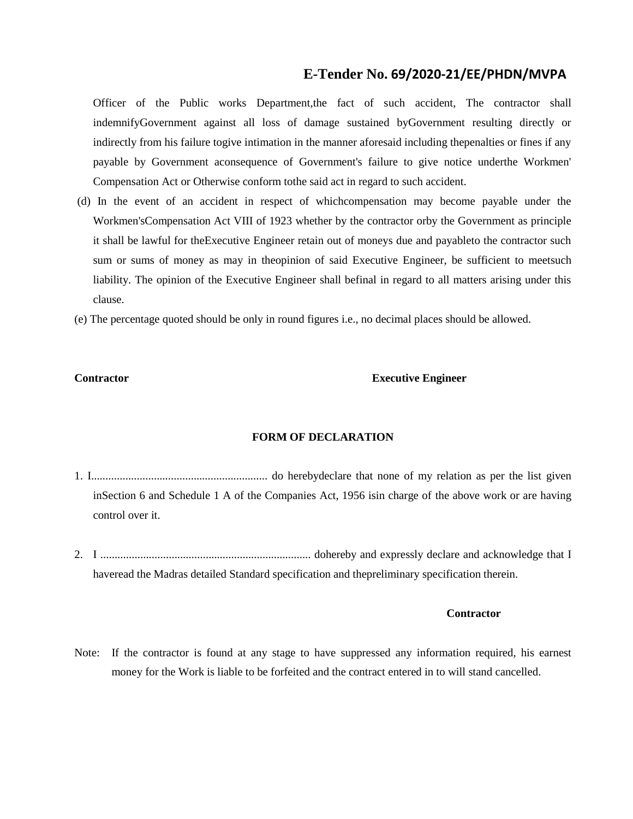Officer of the Public works Department,the fact of such accident, The contractor shall indemnifyGovernment against all loss of damage sustained byGovernment resulting directly or indirectly from his failure togive intimation in the manner aforesaid including thepenalties or fines if any payable by Government aconsequence of Government's failure to give notice underthe Workmen' Compensation Act or Otherwise conform tothe said act in regard to such accident.

- (d) In the event of an accident in respect of whichcompensation may become payable under the Workmen'sCompensation Act VIII of 1923 whether by the contractor orby the Government as principle it shall be lawful for theExecutive Engineer retain out of moneys due and payableto the contractor such sum or sums of money as may in theopinion of said Executive Engineer, be sufficient to meetsuch liability. The opinion of the Executive Engineer shall befinal in regard to all matters arising under this clause.
- (e) The percentage quoted should be only in round figures i.e., no decimal places should be allowed.

#### **Contractor Executive Engineer**

#### **FORM OF DECLARATION**

- 1. I.............................................................. do herebydeclare that none of my relation as per the list given inSection 6 and Schedule 1 A of the Companies Act, 1956 isin charge of the above work or are having control over it.
- 2. I .......................................................................... dohereby and expressly declare and acknowledge that I haveread the Madras detailed Standard specification and thepreliminary specification therein.

#### **Contractor**

Note: If the contractor is found at any stage to have suppressed any information required, his earnest money for the Work is liable to be forfeited and the contract entered in to will stand cancelled.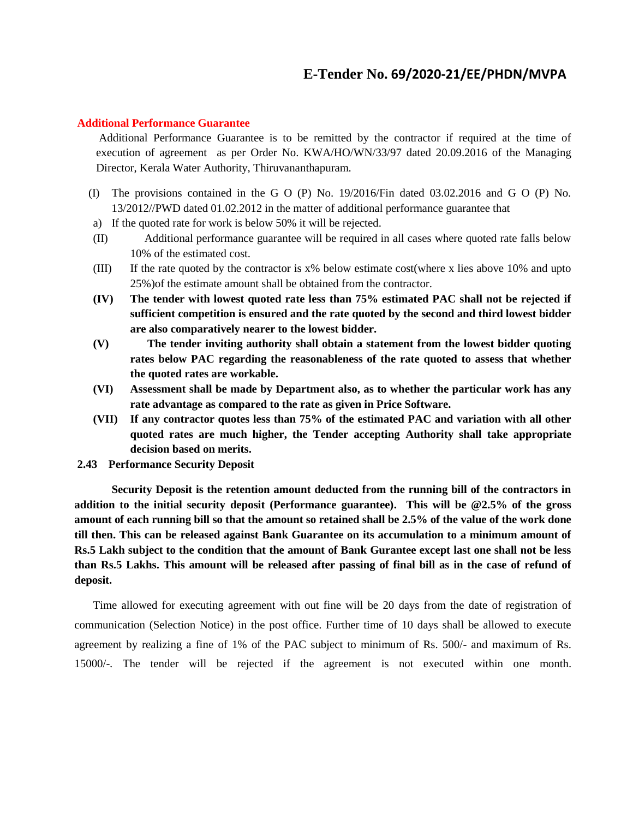#### **Additional Performance Guarantee**

Additional Performance Guarantee is to be remitted by the contractor if required at the time of execution of agreement as per Order No. KWA/HO/WN/33/97 dated 20.09.2016 of the Managing Director, Kerala Water Authority, Thiruvananthapuram.

- (I) The provisions contained in the G O (P) No. 19/2016/Fin dated 03.02.2016 and G O (P) No. 13/2012//PWD dated 01.02.2012 in the matter of additional performance guarantee that
- a) If the quoted rate for work is below 50% it will be rejected.
- (II) Additional performance guarantee will be required in all cases where quoted rate falls below 10% of the estimated cost.
- (III) If the rate quoted by the contractor is x% below estimate cost(where x lies above 10% and upto 25%)of the estimate amount shall be obtained from the contractor.
- **(IV) The tender with lowest quoted rate less than 75% estimated PAC shall not be rejected if sufficient competition is ensured and the rate quoted by the second and third lowest bidder are also comparatively nearer to the lowest bidder.**
- **(V) The tender inviting authority shall obtain a statement from the lowest bidder quoting rates below PAC regarding the reasonableness of the rate quoted to assess that whether the quoted rates are workable.**
- **(VI) Assessment shall be made by Department also, as to whether the particular work has any rate advantage as compared to the rate as given in Price Software.**
- **(VII) If any contractor quotes less than 75% of the estimated PAC and variation with all other quoted rates are much higher, the Tender accepting Authority shall take appropriate decision based on merits.**
- **2.43 Performance Security Deposit**

**Security Deposit is the retention amount deducted from the running bill of the contractors in addition to the initial security deposit (Performance guarantee). This will be @2.5% of the gross amount of each running bill so that the amount so retained shall be 2.5% of the value of the work done till then. This can be released against Bank Guarantee on its accumulation to a minimum amount of Rs.5 Lakh subject to the condition that the amount of Bank Gurantee except last one shall not be less than Rs.5 Lakhs. This amount will be released after passing of final bill as in the case of refund of deposit.**

Time allowed for executing agreement with out fine will be 20 days from the date of registration of communication (Selection Notice) in the post office. Further time of 10 days shall be allowed to execute agreement by realizing a fine of 1% of the PAC subject to minimum of Rs. 500/- and maximum of Rs. 15000/-. The tender will be rejected if the agreement is not executed within one month.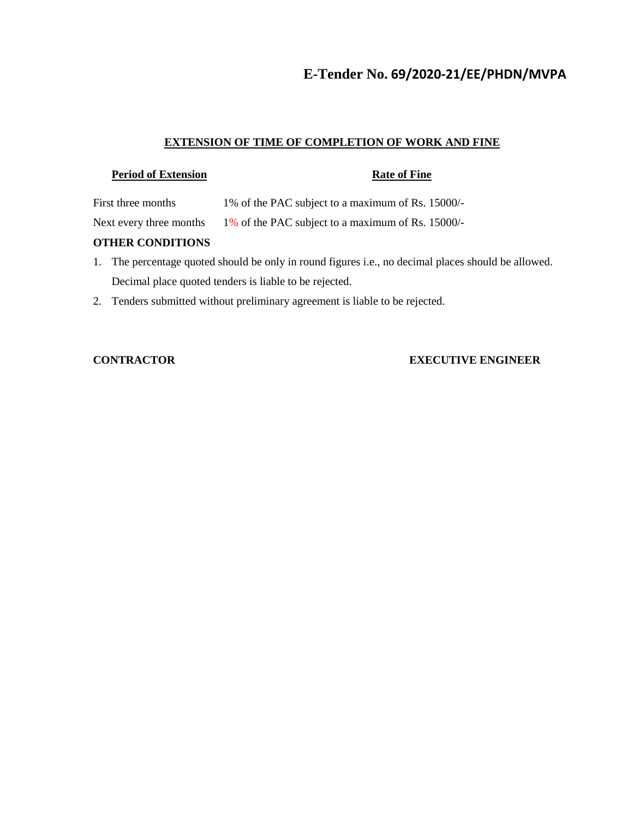#### **EXTENSION OF TIME OF COMPLETION OF WORK AND FINE**

### **Period of Extension Rate of Fine**

First three months 1% of the PAC subject to a maximum of Rs. 15000/-

Next every three months 1% of the PAC subject to a maximum of Rs. 15000/-

#### **OTHER CONDITIONS**

- 1. The percentage quoted should be only in round figures i.e., no decimal places should be allowed. Decimal place quoted tenders is liable to be rejected.
- 2. Tenders submitted without preliminary agreement is liable to be rejected.

### **CONTRACTOR EXECUTIVE ENGINEER**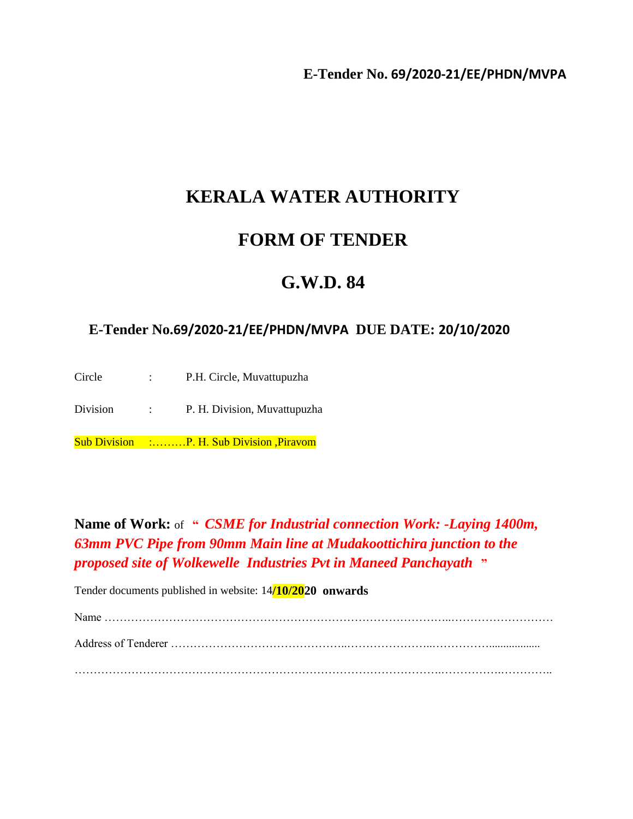# **KERALA WATER AUTHORITY**

# **FORM OF TENDER**

# **G.W.D. 84**

## **E-Tender No.69/2020-21/EE/PHDN/MVPA DUE DATE: 20/10/2020**

Circle : P.H. Circle, Muvattupuzha Division : P. H. Division, Muvattupuzha

Sub Division :………P. H. Sub Division ,Piravom

**Name of Work:** of **"** *CSME for Industrial connection Work: -Laying 1400m, 63mm PVC Pipe from 90mm Main line at Mudakoottichira junction to the proposed site of Wolkewelle Industries Pvt in Maneed Panchayath* **"**

Tender documents published in website: 14**/10/2020 onwards**

Name ………………………………………………………………………………..……………………… Address of Tenderer ………………………………………..…………………..…………….................. …………………………………………………………………………………….…………….…………..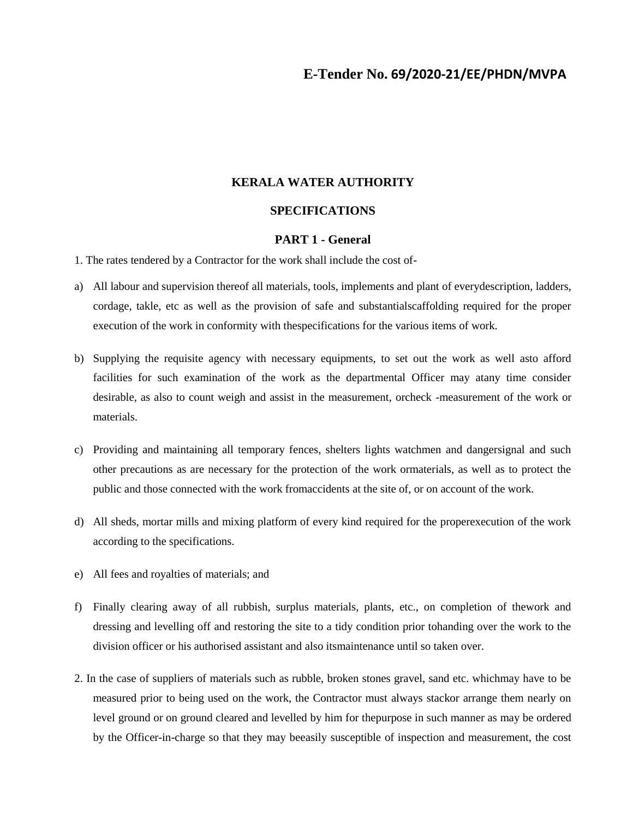#### **KERALA WATER AUTHORITY**

### **SPECIFICATIONS**

#### **PART 1 - General**

1. The rates tendered by a Contractor for the work shall include the cost of-

- a) All labour and supervision thereof all materials, tools, implements and plant of everydescription, ladders, cordage, takle, etc as well as the provision of safe and substantialscaffolding required for the proper execution of the work in conformity with thespecifications for the various items of work.
- b) Supplying the requisite agency with necessary equipments, to set out the work as well asto afford facilities for such examination of the work as the departmental Officer may atany time consider desirable, as also to count weigh and assist in the measurement, orcheck -measurement of the work or materials.
- c) Providing and maintaining all temporary fences, shelters lights watchmen and dangersignal and such other precautions as are necessary for the protection of the work ormaterials, as well as to protect the public and those connected with the work fromaccidents at the site of, or on account of the work.
- d) All sheds, mortar mills and mixing platform of every kind required for the properexecution of the work according to the specifications.
- e) All fees and royalties of materials; and
- f) Finally clearing away of all rubbish, surplus materials, plants, etc., on completion of thework and dressing and levelling off and restoring the site to a tidy condition prior tohanding over the work to the division officer or his authorised assistant and also itsmaintenance until so taken over.
- 2. In the case of suppliers of materials such as rubble, broken stones gravel, sand etc. whichmay have to be measured prior to being used on the work, the Contractor must always stackor arrange them nearly on level ground or on ground cleared and levelled by him for thepurpose in such manner as may be ordered by the Officer-in-charge so that they may beeasily susceptible of inspection and measurement, the cost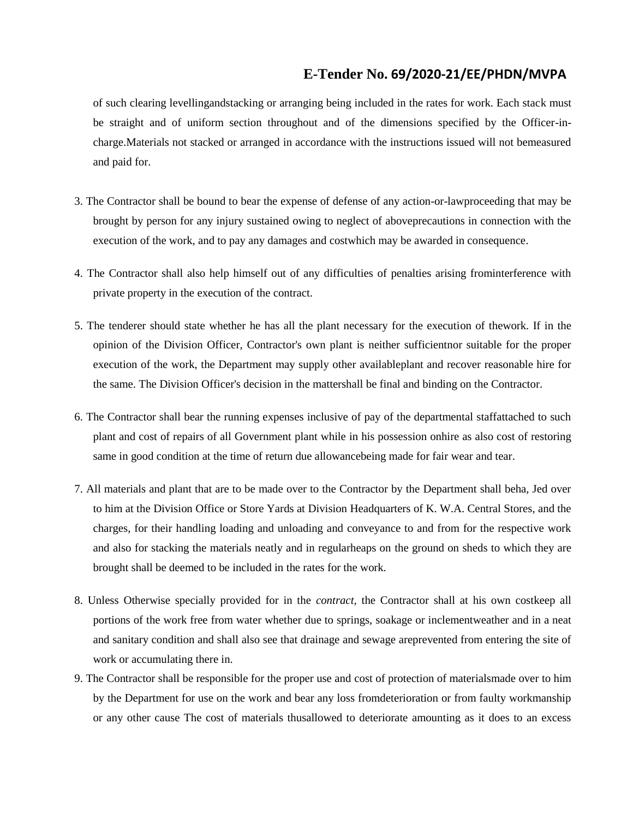of such clearing levellingandstacking or arranging being included in the rates for work. Each stack must be straight and of uniform section throughout and of the dimensions specified by the Officer-incharge.Materials not stacked or arranged in accordance with the instructions issued will not bemeasured and paid for.

- 3. The Contractor shall be bound to bear the expense of defense of any action-or-lawproceeding that may be brought by person for any injury sustained owing to neglect of aboveprecautions in connection with the execution of the work, and to pay any damages and costwhich may be awarded in consequence.
- 4. The Contractor shall also help himself out of any difficulties of penalties arising frominterference with private property in the execution of the contract.
- 5. The tenderer should state whether he has all the plant necessary for the execution of thework. If in the opinion of the Division Officer, Contractor's own plant is neither sufficientnor suitable for the proper execution of the work, the Department may supply other availableplant and recover reasonable hire for the same. The Division Officer's decision in the mattershall be final and binding on the Contractor.
- 6. The Contractor shall bear the running expenses inclusive of pay of the departmental staffattached to such plant and cost of repairs of all Government plant while in his possession onhire as also cost of restoring same in good condition at the time of return due allowancebeing made for fair wear and tear.
- 7. All materials and plant that are to be made over to the Contractor by the Department shall beha, Jed over to him at the Division Office or Store Yards at Division Headquarters of K. W.A. Central Stores, and the charges, for their handling loading and unloading and conveyance to and from for the respective work and also for stacking the materials neatly and in regularheaps on the ground on sheds to which they are brought shall be deemed to be included in the rates for the work.
- 8. Unless Otherwise specially provided for in the *contract,* the Contractor shall at his own costkeep all portions of the work free from water whether due to springs, soakage or inclementweather and in a neat and sanitary condition and shall also see that drainage and sewage areprevented from entering the site of work or accumulating there in.
- 9. The Contractor shall be responsible for the proper use and cost of protection of materialsmade over to him by the Department for use on the work and bear any loss fromdeterioration or from faulty workmanship or any other cause The cost of materials thusallowed to deteriorate amounting as it does to an excess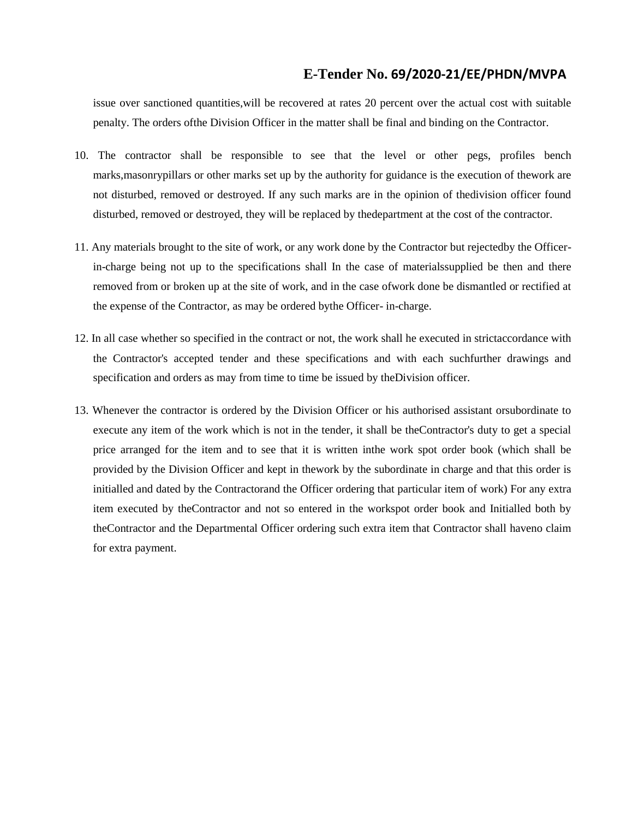issue over sanctioned quantities,will be recovered at rates 20 percent over the actual cost with suitable penalty. The orders ofthe Division Officer in the matter shall be final and binding on the Contractor.

- 10. The contractor shall be responsible to see that the level or other pegs, profiles bench marks,masonrypillars or other marks set up by the authority for guidance is the execution of thework are not disturbed, removed or destroyed. If any such marks are in the opinion of thedivision officer found disturbed, removed or destroyed, they will be replaced by thedepartment at the cost of the contractor.
- 11. Any materials brought to the site of work, or any work done by the Contractor but rejectedby the Officerin-charge being not up to the specifications shall In the case of materialssupplied be then and there removed from or broken up at the site of work, and in the case ofwork done be dismantled or rectified at the expense of the Contractor, as may be ordered bythe Officer- in-charge.
- 12. In all case whether so specified in the contract or not, the work shall he executed in strictaccordance with the Contractor's accepted tender and these specifications and with each suchfurther drawings and specification and orders as may from time to time be issued by theDivision officer.
- 13. Whenever the contractor is ordered by the Division Officer or his authorised assistant orsubordinate to execute any item of the work which is not in the tender, it shall be theContractor's duty to get a special price arranged for the item and to see that it is written inthe work spot order book (which shall be provided by the Division Officer and kept in thework by the subordinate in charge and that this order is initialled and dated by the Contractorand the Officer ordering that particular item of work) For any extra item executed by theContractor and not so entered in the workspot order book and Initialled both by theContractor and the Departmental Officer ordering such extra item that Contractor shall haveno claim for extra payment.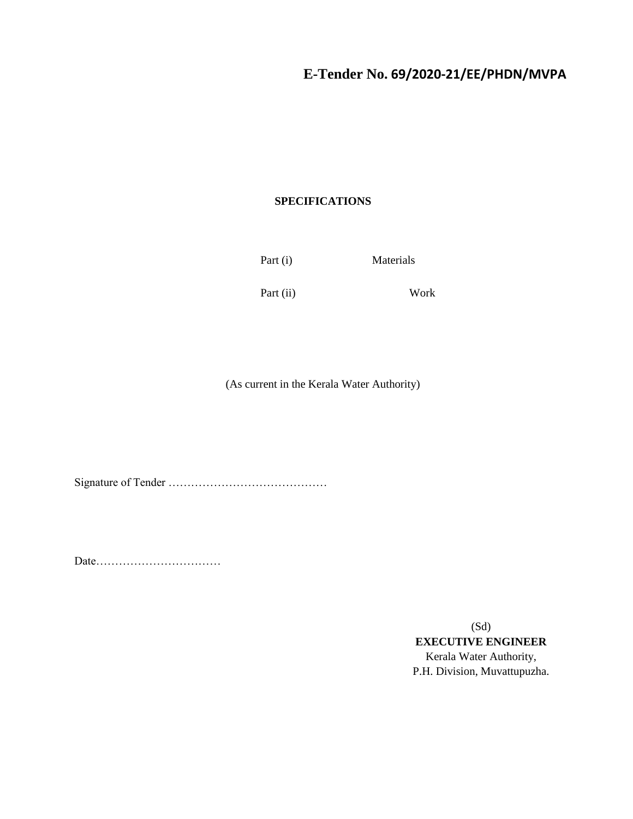### **SPECIFICATIONS**

Part (i) Materials

Part (ii) Work

(As current in the Kerala Water Authority)

Signature of Tender ……………………………………

Date……………………………

(Sd) **EXECUTIVE ENGINEER** Kerala Water Authority, P.H. Division, Muvattupuzha.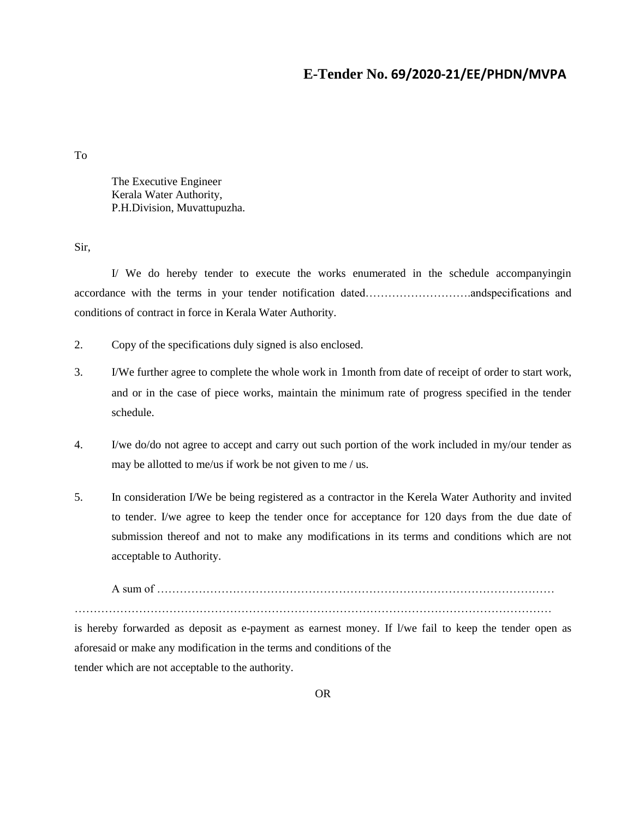To

The Executive Engineer Kerala Water Authority, P.H.Division, Muvattupuzha.

Sir,

I/ We do hereby tender to execute the works enumerated in the schedule accompanyingin accordance with the terms in your tender notification dated……………………….andspecifications and conditions of contract in force in Kerala Water Authority.

- 2. Copy of the specifications duly signed is also enclosed.
- 3. I/We further agree to complete the whole work in 1month from date of receipt of order to start work, and or in the case of piece works, maintain the minimum rate of progress specified in the tender schedule.
- 4. I/we do/do not agree to accept and carry out such portion of the work included in my/our tender as may be allotted to me/us if work be not given to me / us.
- 5. In consideration I/We be being registered as a contractor in the Kerela Water Authority and invited to tender. I/we agree to keep the tender once for acceptance for 120 days from the due date of submission thereof and not to make any modifications in its terms and conditions which are not acceptable to Authority.

A sum of …………………………………………………………………………………………… ………………………………………………………………………………………………………………

is hereby forwarded as deposit as e-payment as earnest money. If l/we fail to keep the tender open as aforesaid or make any modification in the terms and conditions of the tender which are not acceptable to the authority.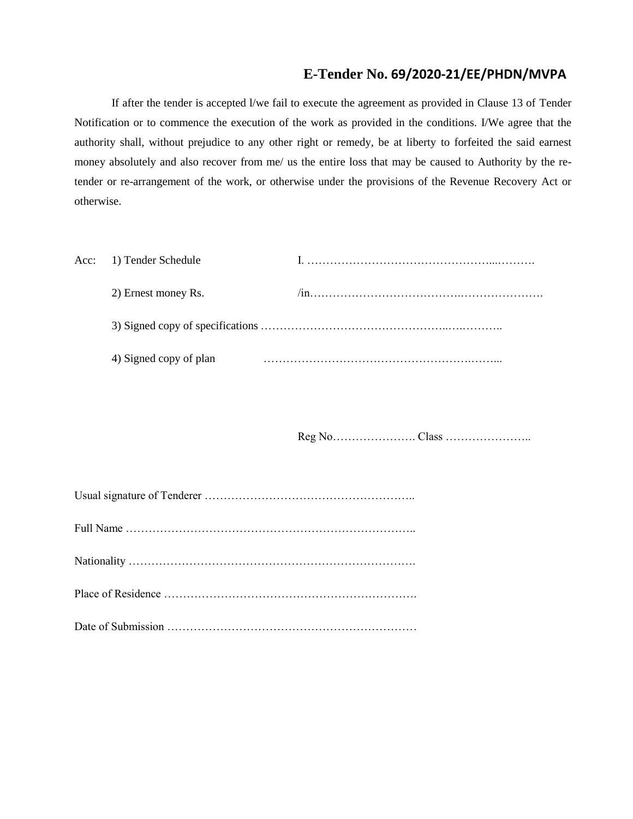If after the tender is accepted l/we fail to execute the agreement as provided in Clause 13 of Tender Notification or to commence the execution of the work as provided in the conditions. I/We agree that the authority shall, without prejudice to any other right or remedy, be at liberty to forfeited the said earnest money absolutely and also recover from me/ us the entire loss that may be caused to Authority by the retender or re-arrangement of the work, or otherwise under the provisions of the Revenue Recovery Act or otherwise.

| Acc: 1) Tender Schedule |  |
|-------------------------|--|
| 2) Ernest money Rs.     |  |
|                         |  |
| 4) Signed copy of plan  |  |

Reg No…………………. Class …………………..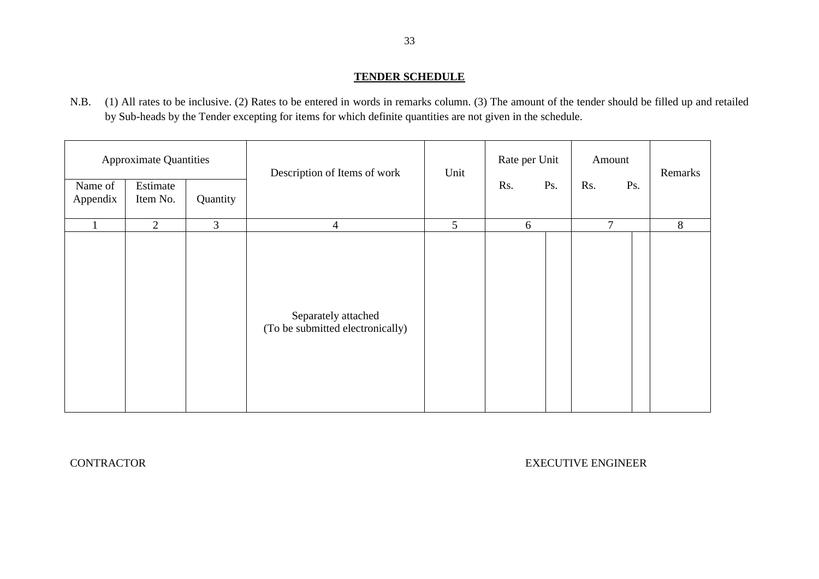### **TENDER SCHEDULE**

N.B. (1) All rates to be inclusive. (2) Rates to be entered in words in remarks column. (3) The amount of the tender should be filled up and retailed by Sub-heads by the Tender excepting for items for which definite quantities are not given in the schedule.

| <b>Approximate Quantities</b><br>Name of<br>Estimate<br>Quantity<br>Appendix<br>Item No. |   |                | Description of Items of work                            | Unit            | Rate per Unit<br>Rs. | Ps. | Amount<br>Rs. | Ps. | Remarks |
|------------------------------------------------------------------------------------------|---|----------------|---------------------------------------------------------|-----------------|----------------------|-----|---------------|-----|---------|
|                                                                                          | 2 | $\overline{3}$ | $\overline{4}$                                          | $5\overline{)}$ | 6                    |     | $\tau$        |     | 8       |
|                                                                                          |   |                | Separately attached<br>(To be submitted electronically) |                 |                      |     |               |     |         |

CONTRACTOR EXECUTIVE ENGINEER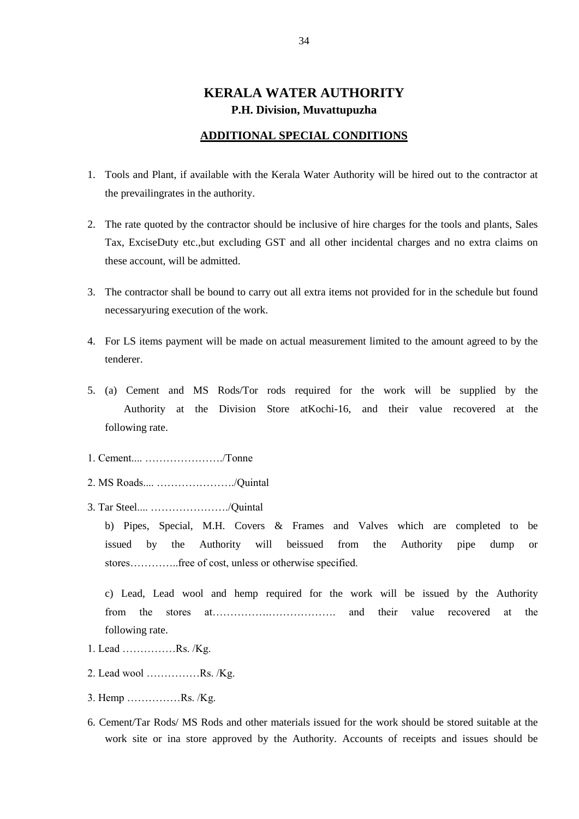### **KERALA WATER AUTHORITY P.H. Division, Muvattupuzha**

#### **ADDITIONAL SPECIAL CONDITIONS**

- 1. Tools and Plant, if available with the Kerala Water Authority will be hired out to the contractor at the prevailingrates in the authority.
- 2. The rate quoted by the contractor should be inclusive of hire charges for the tools and plants, Sales Tax, ExciseDuty etc.,but excluding GST and all other incidental charges and no extra claims on these account, will be admitted.
- 3. The contractor shall be bound to carry out all extra items not provided for in the schedule but found necessaryuring execution of the work.
- 4. For LS items payment will be made on actual measurement limited to the amount agreed to by the tenderer.
- 5. (a) Cement and MS Rods/Tor rods required for the work will be supplied by the Authority at the Division Store atKochi-16, and their value recovered at the following rate.
- 1. Cement.... …………………./Tonne
- 2. MS Roads.... …………………./Quintal
- 3. Tar Steel.... …………………./Quintal

b) Pipes, Special, M.H. Covers & Frames and Valves which are completed to be issued by the Authority will beissued from the Authority pipe dump or stores…………..free of cost, unless or otherwise specified.

c) Lead, Lead wool and hemp required for the work will be issued by the Authority from the stores at…………….………………. and their value recovered at the following rate.

- 1. Lead ……………Rs. /Kg.
- 2. Lead wool ……………Rs. /Kg.
- 3. Hemp ……………Rs. /Kg.
- 6. Cement/Tar Rods/ MS Rods and other materials issued for the work should be stored suitable at the work site or ina store approved by the Authority. Accounts of receipts and issues should be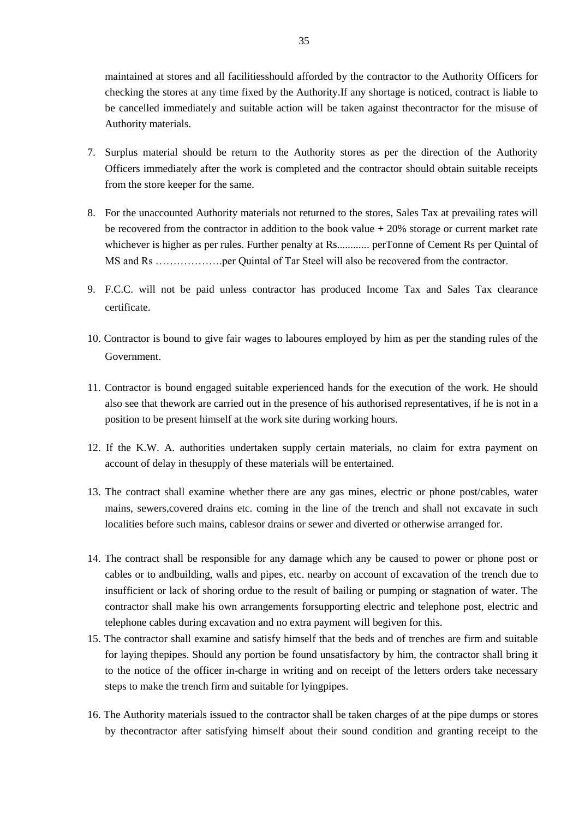maintained at stores and all facilitiesshould afforded by the contractor to the Authority Officers for checking the stores at any time fixed by the Authority.If any shortage is noticed, contract is liable to be cancelled immediately and suitable action will be taken against thecontractor for the misuse of Authority materials.

- 7. Surplus material should be return to the Authority stores as per the direction of the Authority Officers immediately after the work is completed and the contractor should obtain suitable receipts from the store keeper for the same.
- 8. For the unaccounted Authority materials not returned to the stores, Sales Tax at prevailing rates will be recovered from the contractor in addition to the book value + 20% storage or current market rate whichever is higher as per rules. Further penalty at Rs............. perTonne of Cement Rs per Quintal of MS and Rs ……………….per Quintal of Tar Steel will also be recovered from the contractor.
- 9. F.C.C. will not be paid unless contractor has produced Income Tax and Sales Tax clearance certificate.
- 10. Contractor is bound to give fair wages to laboures employed by him as per the standing rules of the Government.
- 11. Contractor is bound engaged suitable experienced hands for the execution of the work. He should also see that thework are carried out in the presence of his authorised representatives, if he is not in a position to be present himself at the work site during working hours.
- 12. If the K.W. A. authorities undertaken supply certain materials, no claim for extra payment on account of delay in thesupply of these materials will be entertained.
- 13. The contract shall examine whether there are any gas mines, electric or phone post/cables, water mains, sewers,covered drains etc. coming in the line of the trench and shall not excavate in such localities before such mains, cablesor drains or sewer and diverted or otherwise arranged for.
- 14. The contract shall be responsible for any damage which any be caused to power or phone post or cables or to andbuilding, walls and pipes, etc. nearby on account of excavation of the trench due to insufficient or lack of shoring ordue to the result of bailing or pumping or stagnation of water. The contractor shall make his own arrangements forsupporting electric and telephone post, electric and telephone cables during excavation and no extra payment will begiven for this.
- 15. The contractor shall examine and satisfy himself that the beds and of trenches are firm and suitable for laying thepipes. Should any portion be found unsatisfactory by him, the contractor shall bring it to the notice of the officer in-charge in writing and on receipt of the letters orders take necessary steps to make the trench firm and suitable for lyingpipes.
- 16. The Authority materials issued to the contractor shall be taken charges of at the pipe dumps or stores by thecontractor after satisfying himself about their sound condition and granting receipt to the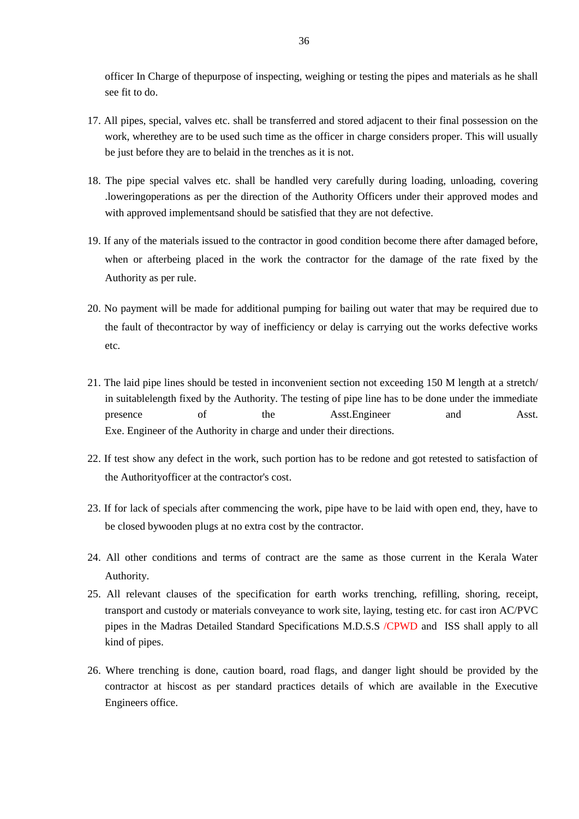officer In Charge of thepurpose of inspecting, weighing or testing the pipes and materials as he shall see fit to do.

- 17. All pipes, special, valves etc. shall be transferred and stored adjacent to their final possession on the work, wherethey are to be used such time as the officer in charge considers proper. This will usually be just before they are to belaid in the trenches as it is not.
- 18. The pipe special valves etc. shall be handled very carefully during loading, unloading, covering .loweringoperations as per the direction of the Authority Officers under their approved modes and with approved implementsand should be satisfied that they are not defective.
- 19. If any of the materials issued to the contractor in good condition become there after damaged before, when or afterbeing placed in the work the contractor for the damage of the rate fixed by the Authority as per rule.
- 20. No payment will be made for additional pumping for bailing out water that may be required due to the fault of thecontractor by way of inefficiency or delay is carrying out the works defective works etc.
- 21. The laid pipe lines should be tested in inconvenient section not exceeding 150 M length at a stretch/ in suitablelength fixed by the Authority. The testing of pipe line has to be done under the immediate presence of the Asst.Engineer and Asst. Exe. Engineer of the Authority in charge and under their directions.
- 22. If test show any defect in the work, such portion has to be redone and got retested to satisfaction of the Authorityofficer at the contractor's cost.
- 23. If for lack of specials after commencing the work, pipe have to be laid with open end, they, have to be closed bywooden plugs at no extra cost by the contractor.
- 24. All other conditions and terms of contract are the same as those current in the Kerala Water Authority.
- 25. All relevant clauses of the specification for earth works trenching, refilling, shoring, receipt, transport and custody or materials conveyance to work site, laying, testing etc. for cast iron AC/PVC pipes in the Madras Detailed Standard Specifications M.D.S.S /CPWD and ISS shall apply to all kind of pipes.
- 26. Where trenching is done, caution board, road flags, and danger light should be provided by the contractor at hiscost as per standard practices details of which are available in the Executive Engineers office.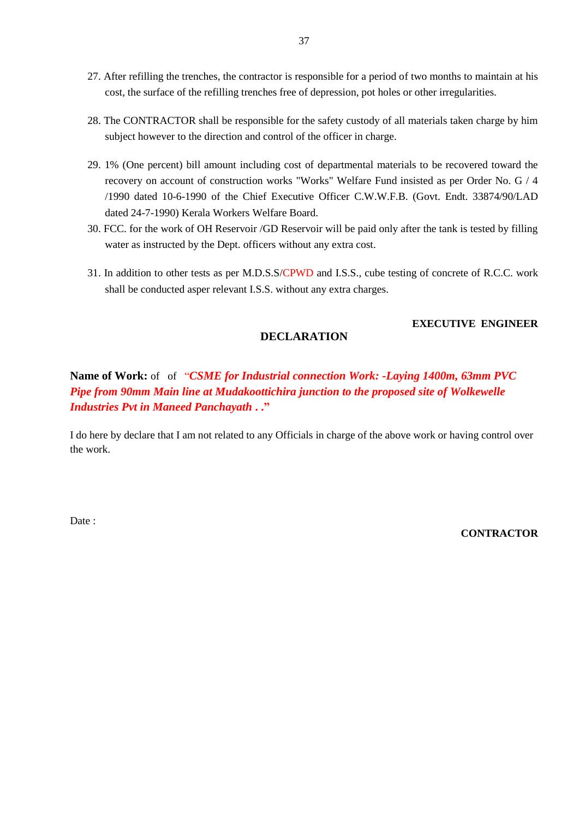- 27. After refilling the trenches, the contractor is responsible for a period of two months to maintain at his cost, the surface of the refilling trenches free of depression, pot holes or other irregularities.
- 28. The CONTRACTOR shall be responsible for the safety custody of all materials taken charge by him subject however to the direction and control of the officer in charge.
- 29. 1% (One percent) bill amount including cost of departmental materials to be recovered toward the recovery on account of construction works "Works" Welfare Fund insisted as per Order No. G / 4 /1990 dated 10-6-1990 of the Chief Executive Officer C.W.W.F.B. (Govt. Endt. 33874/90/LAD dated 24-7-1990) Kerala Workers Welfare Board.
- 30. FCC. for the work of OH Reservoir /GD Reservoir will be paid only after the tank is tested by filling water as instructed by the Dept. officers without any extra cost.
- 31. In addition to other tests as per M.D.S.S/CPWD and I.S.S., cube testing of concrete of R.C.C. work shall be conducted asper relevant I.S.S. without any extra charges.

#### **EXECUTIVE ENGINEER**

### **DECLARATION**

**Name of Work:** of of "*CSME for Industrial connection Work: -Laying 1400m, 63mm PVC Pipe from 90mm Main line at Mudakoottichira junction to the proposed site of Wolkewelle Industries Pvt in Maneed Panchayath* **. ."**

I do here by declare that I am not related to any Officials in charge of the above work or having control over the work.

Date:

#### **CONTRACTOR**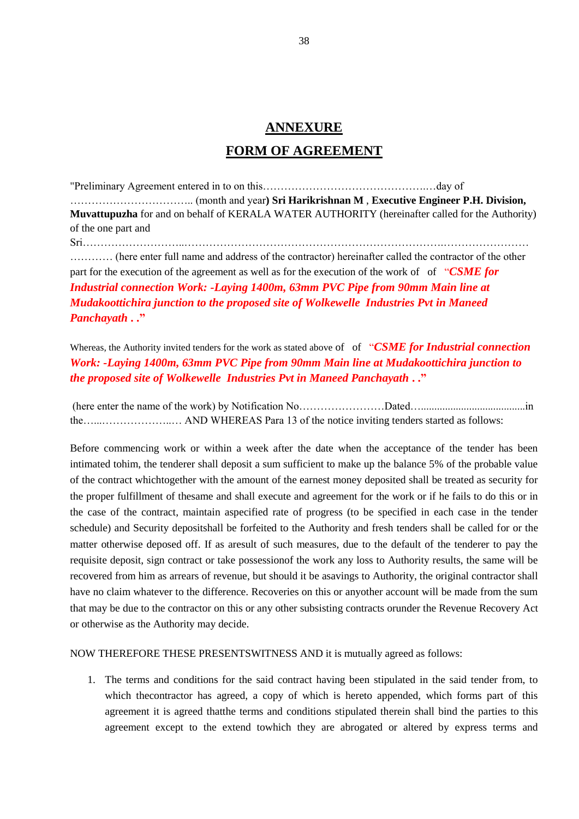# **ANNEXURE FORM OF AGREEMENT**

"Preliminary Agreement entered in to on this……………………………………….…day of …………………………….. (month and year**) Sri Harikrishnan M** , **Executive Engineer P.H. Division, Muvattupuzha** for and on behalf of KERALA WATER AUTHORITY (hereinafter called for the Authority) of the one part and

Sri………………………..……………………………………………………………….…………………… ………… (here enter full name and address of the contractor) hereinafter called the contractor of the other part for the execution of the agreement as well as for the execution of the work of of "*CSME for Industrial connection Work: -Laying 1400m, 63mm PVC Pipe from 90mm Main line at Mudakoottichira junction to the proposed site of Wolkewelle Industries Pvt in Maneed Panchayath* **. ."**

Whereas, the Authority invited tenders for the work as stated above of of "*CSME for Industrial connection Work: -Laying 1400m, 63mm PVC Pipe from 90mm Main line at Mudakoottichira junction to the proposed site of Wolkewelle Industries Pvt in Maneed Panchayath* **. ."**

(here enter the name of the work) by Notification No……………………Dated….......................................in the…...………………..… AND WHEREAS Para 13 of the notice inviting tenders started as follows:

Before commencing work or within a week after the date when the acceptance of the tender has been intimated tohim, the tenderer shall deposit a sum sufficient to make up the balance 5% of the probable value of the contract whichtogether with the amount of the earnest money deposited shall be treated as security for the proper fulfillment of thesame and shall execute and agreement for the work or if he fails to do this or in the case of the contract, maintain aspecified rate of progress (to be specified in each case in the tender schedule) and Security depositshall be forfeited to the Authority and fresh tenders shall be called for or the matter otherwise deposed off. If as aresult of such measures, due to the default of the tenderer to pay the requisite deposit, sign contract or take possessionof the work any loss to Authority results, the same will be recovered from him as arrears of revenue, but should it be asavings to Authority, the original contractor shall have no claim whatever to the difference. Recoveries on this or anyother account will be made from the sum that may be due to the contractor on this or any other subsisting contracts orunder the Revenue Recovery Act or otherwise as the Authority may decide.

NOW THEREFORE THESE PRESENTSWITNESS AND it is mutually agreed as follows:

1. The terms and conditions for the said contract having been stipulated in the said tender from, to which thecontractor has agreed, a copy of which is hereto appended, which forms part of this agreement it is agreed thatthe terms and conditions stipulated therein shall bind the parties to this agreement except to the extend towhich they are abrogated or altered by express terms and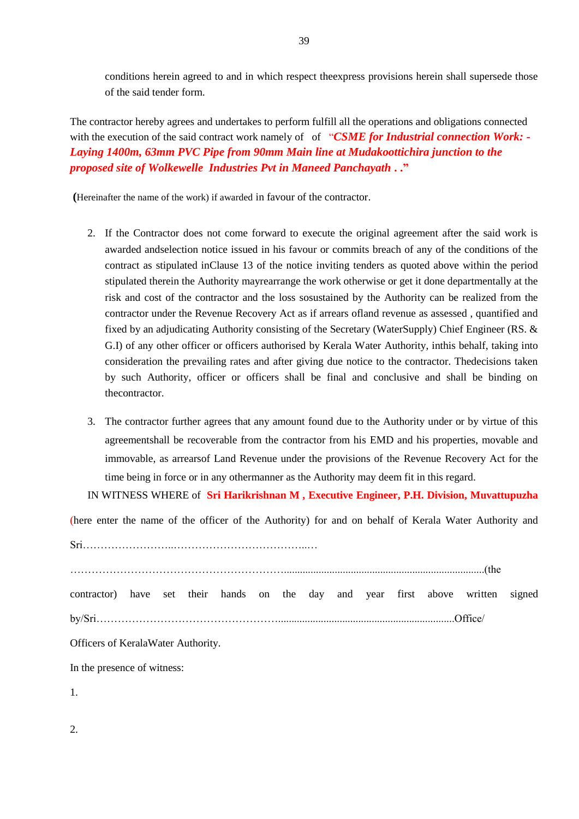conditions herein agreed to and in which respect theexpress provisions herein shall supersede those of the said tender form.

The contractor hereby agrees and undertakes to perform fulfill all the operations and obligations connected with the execution of the said contract work namely of of "CSME for Industrial connection Work: -*Laying 1400m, 63mm PVC Pipe from 90mm Main line at Mudakoottichira junction to the proposed site of Wolkewelle Industries Pvt in Maneed Panchayath* **. ."**

**(**Hereinafter the name of the work) if awarded in favour of the contractor.

- 2. If the Contractor does not come forward to execute the original agreement after the said work is awarded andselection notice issued in his favour or commits breach of any of the conditions of the contract as stipulated inClause 13 of the notice inviting tenders as quoted above within the period stipulated therein the Authority mayrearrange the work otherwise or get it done departmentally at the risk and cost of the contractor and the loss sosustained by the Authority can be realized from the contractor under the Revenue Recovery Act as if arrears ofland revenue as assessed , quantified and fixed by an adjudicating Authority consisting of the Secretary (WaterSupply) Chief Engineer (RS. & G.I) of any other officer or officers authorised by Kerala Water Authority, inthis behalf, taking into consideration the prevailing rates and after giving due notice to the contractor. Thedecisions taken by such Authority, officer or officers shall be final and conclusive and shall be binding on thecontractor.
- 3. The contractor further agrees that any amount found due to the Authority under or by virtue of this agreementshall be recoverable from the contractor from his EMD and his properties, movable and immovable, as arrearsof Land Revenue under the provisions of the Revenue Recovery Act for the time being in force or in any othermanner as the Authority may deem fit in this regard.

IN WITNESS WHERE of **Sri Harikrishnan M , Executive Engineer, P.H. Division, Muvattupuzha**

(here enter the name of the officer of the Authority) for and on behalf of Kerala Water Authority and

Sri……………………..………………………………..…

……………………………………………………...........................................................................(the contractor) have set their hands on the day and year first above written signed by/Sri……………………………………………..................................................................Office/

Officers of KeralaWater Authority.

In the presence of witness:

1.

2.